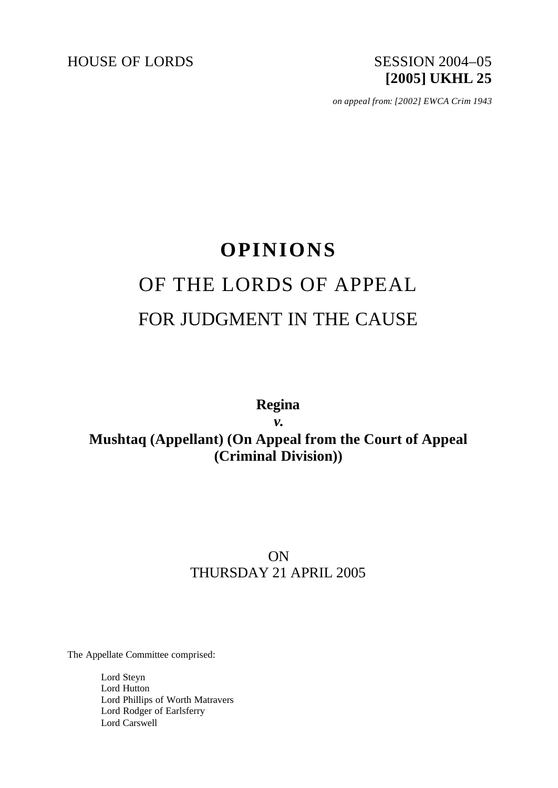HOUSE OF LORDS SESSION 2004-05

# **[2005] UKHL 25**

*on appeal from: [2002] EWCA Crim 1943*

## **OPINIONS** OF THE LORDS OF APPEAL FOR JUDGMENT IN THE CAUSE

### **Regina** *v.* **Mushtaq (Appellant) (On Appeal from the Court of Appeal (Criminal Division))**

## ON THURSDAY 21 APRIL 2005

The Appellate Committee comprised:

Lord Steyn Lord Hutton Lord Phillips of Worth Matravers Lord Rodger of Earlsferry Lord Carswell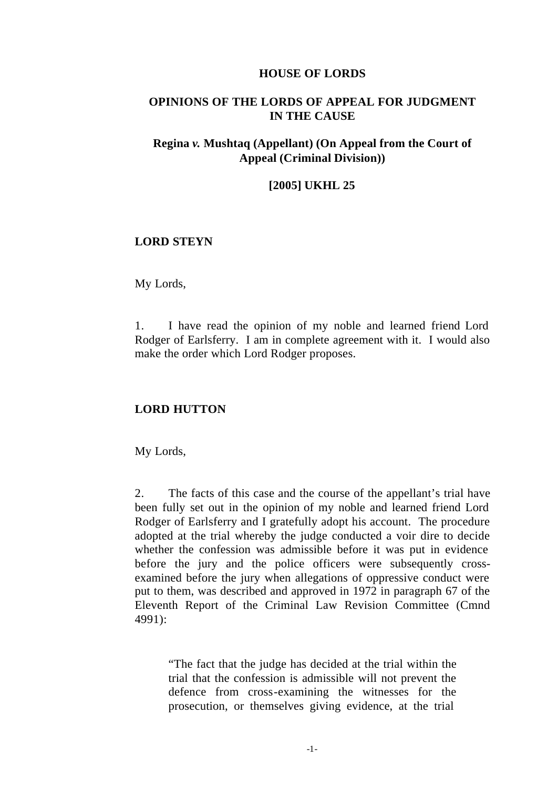#### **HOUSE OF LORDS**

#### **OPINIONS OF THE LORDS OF APPEAL FOR JUDGMENT IN THE CAUSE**

#### **Regina** *v.* **Mushtaq (Appellant) (On Appeal from the Court of Appeal (Criminal Division))**

#### **[2005] UKHL 25**

#### **LORD STEYN**

My Lords,

1. I have read the opinion of my noble and learned friend Lord Rodger of Earlsferry. I am in complete agreement with it. I would also make the order which Lord Rodger proposes.

#### **LORD HUTTON**

My Lords,

2. The facts of this case and the course of the appellant's trial have been fully set out in the opinion of my noble and learned friend Lord Rodger of Earlsferry and I gratefully adopt his account. The procedure adopted at the trial whereby the judge conducted a voir dire to decide whether the confession was admissible before it was put in evidence before the jury and the police officers were subsequently crossexamined before the jury when allegations of oppressive conduct were put to them, was described and approved in 1972 in paragraph 67 of the Eleventh Report of the Criminal Law Revision Committee (Cmnd 4991):

"The fact that the judge has decided at the trial within the trial that the confession is admissible will not prevent the defence from cross-examining the witnesses for the prosecution, or themselves giving evidence, at the trial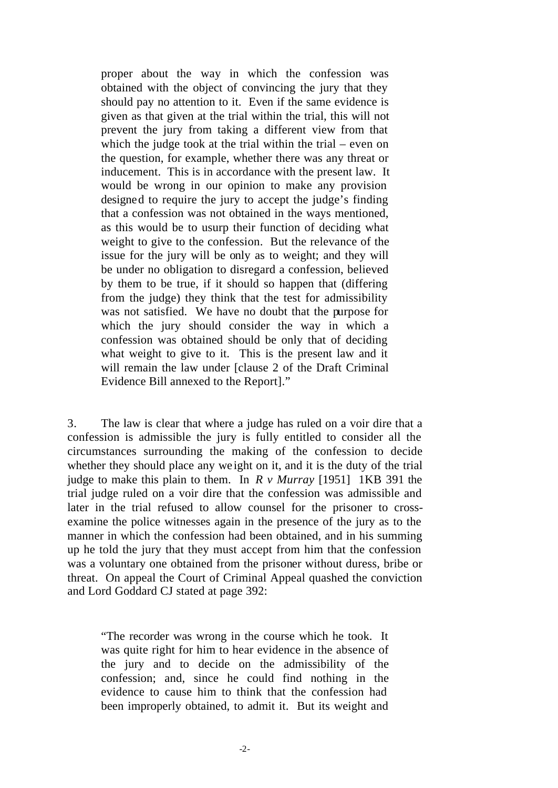proper about the way in which the confession was obtained with the object of convincing the jury that they should pay no attention to it. Even if the same evidence is given as that given at the trial within the trial, this will not prevent the jury from taking a different view from that which the judge took at the trial within the trial – even on the question, for example, whether there was any threat or inducement. This is in accordance with the present law. It would be wrong in our opinion to make any provision designed to require the jury to accept the judge's finding that a confession was not obtained in the ways mentioned, as this would be to usurp their function of deciding what weight to give to the confession. But the relevance of the issue for the jury will be only as to weight; and they will be under no obligation to disregard a confession, believed by them to be true, if it should so happen that (differing from the judge) they think that the test for admissibility was not satisfied. We have no doubt that the purpose for which the jury should consider the way in which a confession was obtained should be only that of deciding what weight to give to it. This is the present law and it will remain the law under [clause 2 of the Draft Criminal] Evidence Bill annexed to the Report]."

3. The law is clear that where a judge has ruled on a voir dire that a confession is admissible the jury is fully entitled to consider all the circumstances surrounding the making of the confession to decide whether they should place any we ight on it, and it is the duty of the trial judge to make this plain to them. In *R v Murray* [1951] 1KB 391 the trial judge ruled on a voir dire that the confession was admissible and later in the trial refused to allow counsel for the prisoner to crossexamine the police witnesses again in the presence of the jury as to the manner in which the confession had been obtained, and in his summing up he told the jury that they must accept from him that the confession was a voluntary one obtained from the prisoner without duress, bribe or threat. On appeal the Court of Criminal Appeal quashed the conviction and Lord Goddard CJ stated at page 392:

"The recorder was wrong in the course which he took. It was quite right for him to hear evidence in the absence of the jury and to decide on the admissibility of the confession; and, since he could find nothing in the evidence to cause him to think that the confession had been improperly obtained, to admit it. But its weight and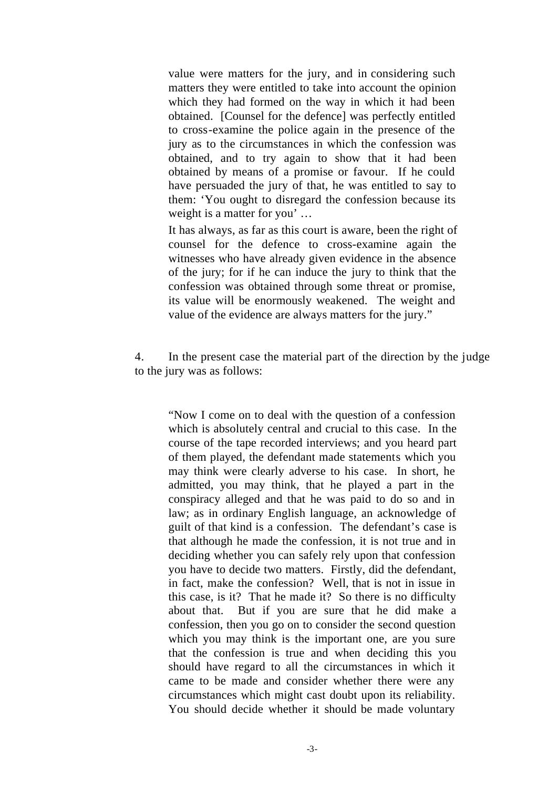value were matters for the jury, and in considering such matters they were entitled to take into account the opinion which they had formed on the way in which it had been obtained. [Counsel for the defence] was perfectly entitled to cross-examine the police again in the presence of the jury as to the circumstances in which the confession was obtained, and to try again to show that it had been obtained by means of a promise or favour. If he could have persuaded the jury of that, he was entitled to say to them: 'You ought to disregard the confession because its weight is a matter for you' …

It has always, as far as this court is aware, been the right of counsel for the defence to cross-examine again the witnesses who have already given evidence in the absence of the jury; for if he can induce the jury to think that the confession was obtained through some threat or promise, its value will be enormously weakened. The weight and value of the evidence are always matters for the jury."

4. In the present case the material part of the direction by the judge to the jury was as follows:

"Now I come on to deal with the question of a confession which is absolutely central and crucial to this case. In the course of the tape recorded interviews; and you heard part of them played, the defendant made statements which you may think were clearly adverse to his case. In short, he admitted, you may think, that he played a part in the conspiracy alleged and that he was paid to do so and in law; as in ordinary English language, an acknowledge of guilt of that kind is a confession. The defendant's case is that although he made the confession, it is not true and in deciding whether you can safely rely upon that confession you have to decide two matters. Firstly, did the defendant, in fact, make the confession? Well, that is not in issue in this case, is it? That he made it? So there is no difficulty about that. But if you are sure that he did make a confession, then you go on to consider the second question which you may think is the important one, are you sure that the confession is true and when deciding this you should have regard to all the circumstances in which it came to be made and consider whether there were any circumstances which might cast doubt upon its reliability. You should decide whether it should be made voluntary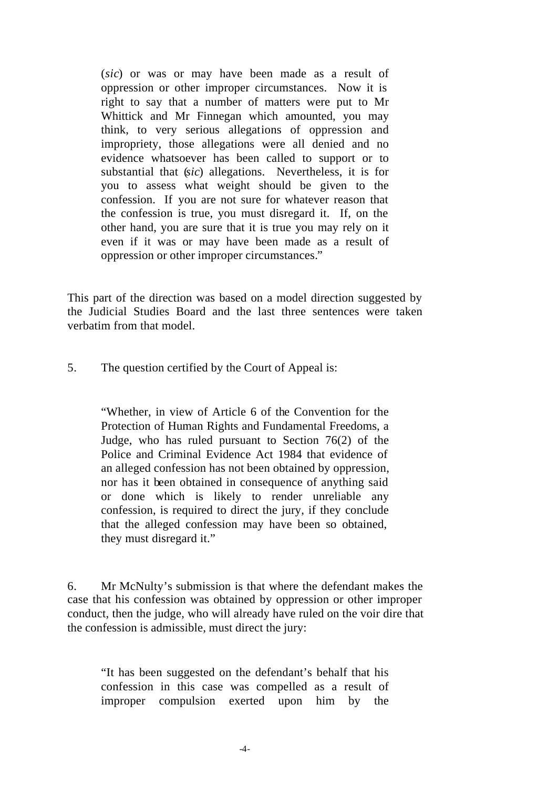(*sic*) or was or may have been made as a result of oppression or other improper circumstances. Now it is right to say that a number of matters were put to Mr Whittick and Mr Finnegan which amounted, you may think, to very serious allegations of oppression and impropriety, those allegations were all denied and no evidence whatsoever has been called to support or to substantial that (*sic*) allegations. Nevertheless, it is for you to assess what weight should be given to the confession. If you are not sure for whatever reason that the confession is true, you must disregard it. If, on the other hand, you are sure that it is true you may rely on it even if it was or may have been made as a result of oppression or other improper circumstances."

This part of the direction was based on a model direction suggested by the Judicial Studies Board and the last three sentences were taken verbatim from that model.

5. The question certified by the Court of Appeal is:

"Whether, in view of Article 6 of the Convention for the Protection of Human Rights and Fundamental Freedoms, a Judge, who has ruled pursuant to Section 76(2) of the Police and Criminal Evidence Act 1984 that evidence of an alleged confession has not been obtained by oppression, nor has it been obtained in consequence of anything said or done which is likely to render unreliable any confession, is required to direct the jury, if they conclude that the alleged confession may have been so obtained, they must disregard it."

6. Mr McNulty's submission is that where the defendant makes the case that his confession was obtained by oppression or other improper conduct, then the judge, who will already have ruled on the voir dire that the confession is admissible, must direct the jury:

"It has been suggested on the defendant's behalf that his confession in this case was compelled as a result of improper compulsion exerted upon him by the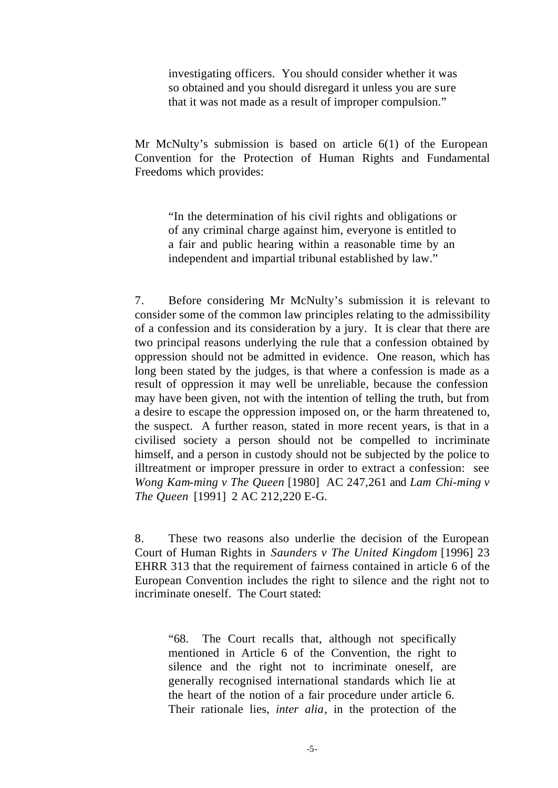investigating officers. You should consider whether it was so obtained and you should disregard it unless you are sure that it was not made as a result of improper compulsion."

Mr McNulty's submission is based on article 6(1) of the European Convention for the Protection of Human Rights and Fundamental Freedoms which provides:

"In the determination of his civil rights and obligations or of any criminal charge against him, everyone is entitled to a fair and public hearing within a reasonable time by an independent and impartial tribunal established by law."

7. Before considering Mr McNulty's submission it is relevant to consider some of the common law principles relating to the admissibility of a confession and its consideration by a jury. It is clear that there are two principal reasons underlying the rule that a confession obtained by oppression should not be admitted in evidence. One reason, which has long been stated by the judges, is that where a confession is made as a result of oppression it may well be unreliable, because the confession may have been given, not with the intention of telling the truth, but from a desire to escape the oppression imposed on, or the harm threatened to, the suspect. A further reason, stated in more recent years, is that in a civilised society a person should not be compelled to incriminate himself, and a person in custody should not be subjected by the police to illtreatment or improper pressure in order to extract a confession: see *Wong Kam-ming v The Queen* [1980] AC 247,261 and *Lam Chi-ming v The Queen* [1991] 2 AC 212,220 E-G.

8. These two reasons also underlie the decision of the European Court of Human Rights in *Saunders v The United Kingdom* [1996] 23 EHRR 313 that the requirement of fairness contained in article 6 of the European Convention includes the right to silence and the right not to incriminate oneself. The Court stated:

"68. The Court recalls that, although not specifically mentioned in Article 6 of the Convention, the right to silence and the right not to incriminate oneself, are generally recognised international standards which lie at the heart of the notion of a fair procedure under article 6. Their rationale lies, *inter alia*, in the protection of the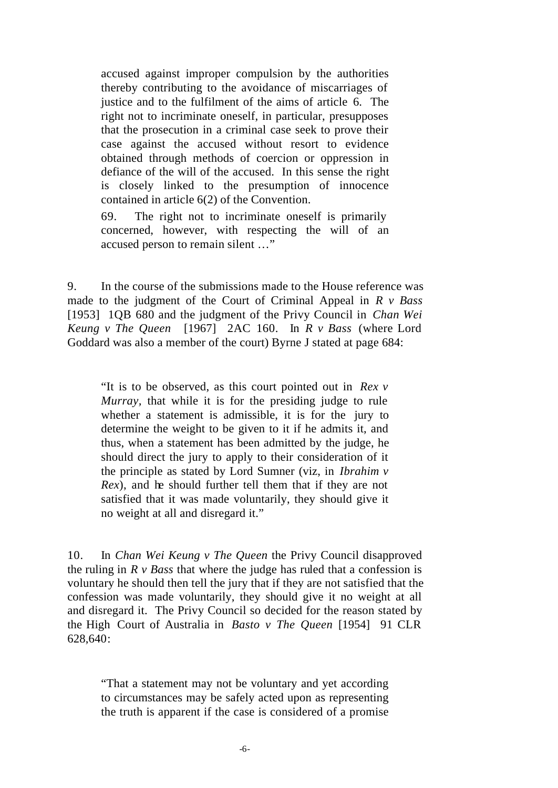accused against improper compulsion by the authorities thereby contributing to the avoidance of miscarriages of justice and to the fulfilment of the aims of article 6. The right not to incriminate oneself, in particular, presupposes that the prosecution in a criminal case seek to prove their case against the accused without resort to evidence obtained through methods of coercion or oppression in defiance of the will of the accused. In this sense the right is closely linked to the presumption of innocence contained in article 6(2) of the Convention.

69. The right not to incriminate oneself is primarily concerned, however, with respecting the will of an accused person to remain silent …"

9. In the course of the submissions made to the House reference was made to the judgment of the Court of Criminal Appeal in *R v Bass* [1953] 1QB 680 and the judgment of the Privy Council in *Chan Wei Keung v The Queen* [1967] 2AC 160. In *R v Bass* (where Lord Goddard was also a member of the court) Byrne J stated at page 684:

"It is to be observed, as this court pointed out in *Rex v Murray,* that while it is for the presiding judge to rule whether a statement is admissible, it is for the jury to determine the weight to be given to it if he admits it, and thus, when a statement has been admitted by the judge, he should direct the jury to apply to their consideration of it the principle as stated by Lord Sumner (viz, in *Ibrahim v Rex*), and he should further tell them that if they are not satisfied that it was made voluntarily, they should give it no weight at all and disregard it."

10. In *Chan Wei Keung v The Queen* the Privy Council disapproved the ruling in *R v Bass* that where the judge has ruled that a confession is voluntary he should then tell the jury that if they are not satisfied that the confession was made voluntarily, they should give it no weight at all and disregard it. The Privy Council so decided for the reason stated by the High Court of Australia in *Basto v The Queen* [1954] 91 CLR 628,640:

"That a statement may not be voluntary and yet according to circumstances may be safely acted upon as representing the truth is apparent if the case is considered of a promise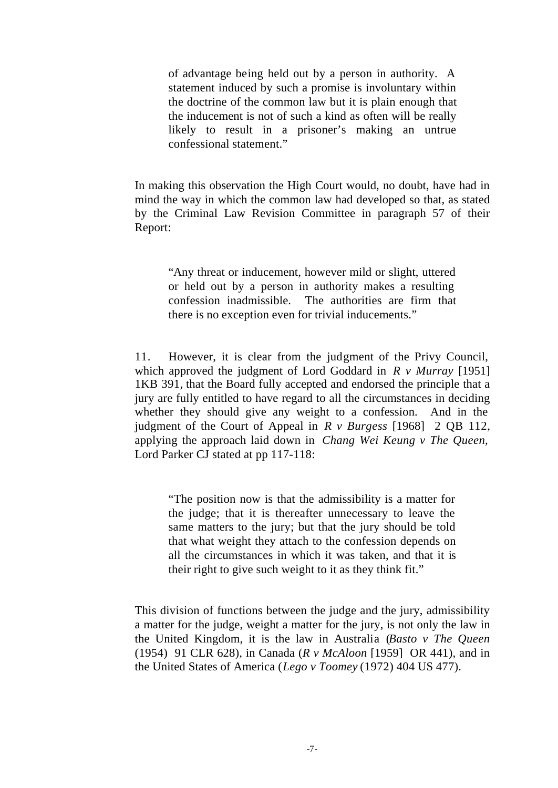of advantage being held out by a person in authority. A statement induced by such a promise is involuntary within the doctrine of the common law but it is plain enough that the inducement is not of such a kind as often will be really likely to result in a prisoner's making an untrue confessional statement."

In making this observation the High Court would, no doubt, have had in mind the way in which the common law had developed so that, as stated by the Criminal Law Revision Committee in paragraph 57 of their Report:

"Any threat or inducement, however mild or slight, uttered or held out by a person in authority makes a resulting confession inadmissible. The authorities are firm that there is no exception even for trivial inducements."

11. However, it is clear from the judgment of the Privy Council, which approved the judgment of Lord Goddard in *R v Murray* [1951] 1KB 391, that the Board fully accepted and endorsed the principle that a jury are fully entitled to have regard to all the circumstances in deciding whether they should give any weight to a confession. And in the judgment of the Court of Appeal in *R v Burgess* [1968] 2 QB 112, applying the approach laid down in *Chang Wei Keung v The Queen,*  Lord Parker CJ stated at pp 117-118:

"The position now is that the admissibility is a matter for the judge; that it is thereafter unnecessary to leave the same matters to the jury; but that the jury should be told that what weight they attach to the confession depends on all the circumstances in which it was taken, and that it is their right to give such weight to it as they think fit."

This division of functions between the judge and the jury, admissibility a matter for the judge, weight a matter for the jury, is not only the law in the United Kingdom, it is the law in Australia (*Basto v The Queen* (1954) 91 CLR 628), in Canada (*R v McAloon* [1959] OR 441), and in the United States of America (*Lego v Toomey* (1972) 404 US 477).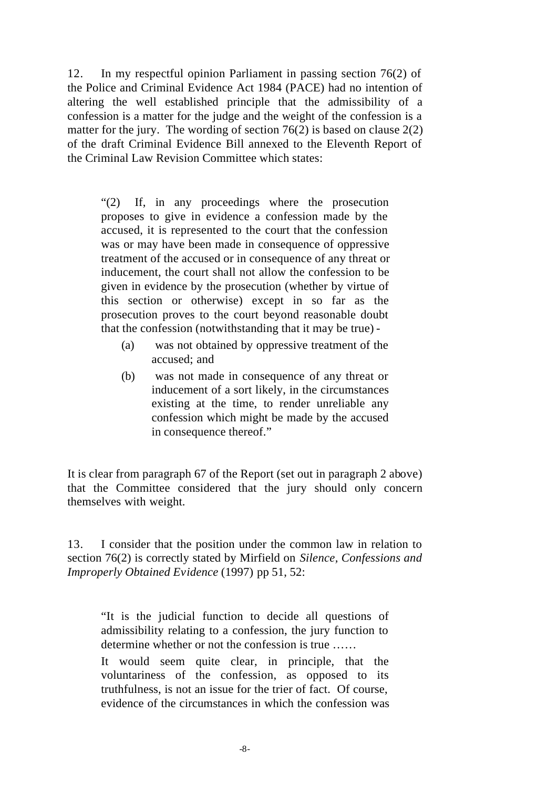12. In my respectful opinion Parliament in passing section 76(2) of the Police and Criminal Evidence Act 1984 (PACE) had no intention of altering the well established principle that the admissibility of a confession is a matter for the judge and the weight of the confession is a matter for the jury. The wording of section  $76(2)$  is based on clause  $2(2)$ of the draft Criminal Evidence Bill annexed to the Eleventh Report of the Criminal Law Revision Committee which states:

"(2) If, in any proceedings where the prosecution proposes to give in evidence a confession made by the accused, it is represented to the court that the confession was or may have been made in consequence of oppressive treatment of the accused or in consequence of any threat or inducement, the court shall not allow the confession to be given in evidence by the prosecution (whether by virtue of this section or otherwise) except in so far as the prosecution proves to the court beyond reasonable doubt that the confession (notwithstanding that it may be true) -

- (a) was not obtained by oppressive treatment of the accused; and
- (b) was not made in consequence of any threat or inducement of a sort likely, in the circumstances existing at the time, to render unreliable any confession which might be made by the accused in consequence thereof."

It is clear from paragraph 67 of the Report (set out in paragraph 2 above) that the Committee considered that the jury should only concern themselves with weight.

13. I consider that the position under the common law in relation to section 76(2) is correctly stated by Mirfield on *Silence, Confessions and Improperly Obtained Evidence* (1997) pp 51, 52:

"It is the judicial function to decide all questions of admissibility relating to a confession, the jury function to determine whether or not the confession is true ……

It would seem quite clear, in principle, that the voluntariness of the confession, as opposed to its truthfulness, is not an issue for the trier of fact. Of course, evidence of the circumstances in which the confession was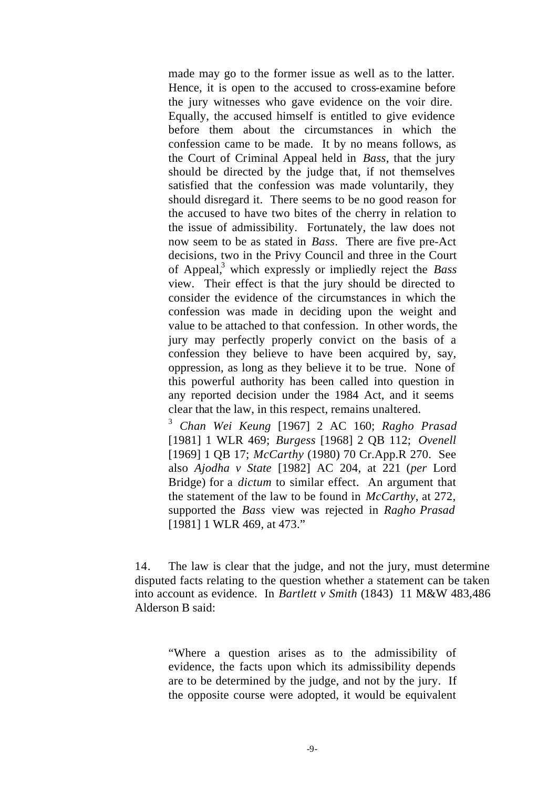made may go to the former issue as well as to the latter. Hence, it is open to the accused to cross-examine before the jury witnesses who gave evidence on the voir dire. Equally, the accused himself is entitled to give evidence before them about the circumstances in which the confession came to be made. It by no means follows, as the Court of Criminal Appeal held in *Bass*, that the jury should be directed by the judge that, if not themselves satisfied that the confession was made voluntarily, they should disregard it. There seems to be no good reason for the accused to have two bites of the cherry in relation to the issue of admissibility. Fortunately, the law does not now seem to be as stated in *Bass*. There are five pre-Act decisions, two in the Privy Council and three in the Court of Appeal,<sup>3</sup> which expressly or impliedly reject the *Bass* view. Their effect is that the jury should be directed to consider the evidence of the circumstances in which the confession was made in deciding upon the weight and value to be attached to that confession. In other words, the jury may perfectly properly convict on the basis of a confession they believe to have been acquired by, say, oppression, as long as they believe it to be true. None of this powerful authority has been called into question in any reported decision under the 1984 Act, and it seems clear that the law, in this respect, remains unaltered.

<sup>3</sup> *Chan Wei Keung* [1967] 2 AC 160; *Ragho Prasad* [1981] 1 WLR 469; *Burgess* [1968] 2 QB 112; *Ovenell*  [1969] 1 QB 17; *McCarthy* (1980) 70 Cr.App.R 270. See also *Ajodha v State* [1982] AC 204, at 221 (*per* Lord Bridge) for a *dictum* to similar effect. An argument that the statement of the law to be found in *McCarthy*, at 272, supported the *Bass* view was rejected in *Ragho Prasad*  [1981] 1 WLR 469, at 473."

14. The law is clear that the judge, and not the jury, must determine disputed facts relating to the question whether a statement can be taken into account as evidence. In *Bartlett v Smith* (1843) 11 M&W 483,486 Alderson B said:

"Where a question arises as to the admissibility of evidence, the facts upon which its admissibility depends are to be determined by the judge, and not by the jury. If the opposite course were adopted, it would be equivalent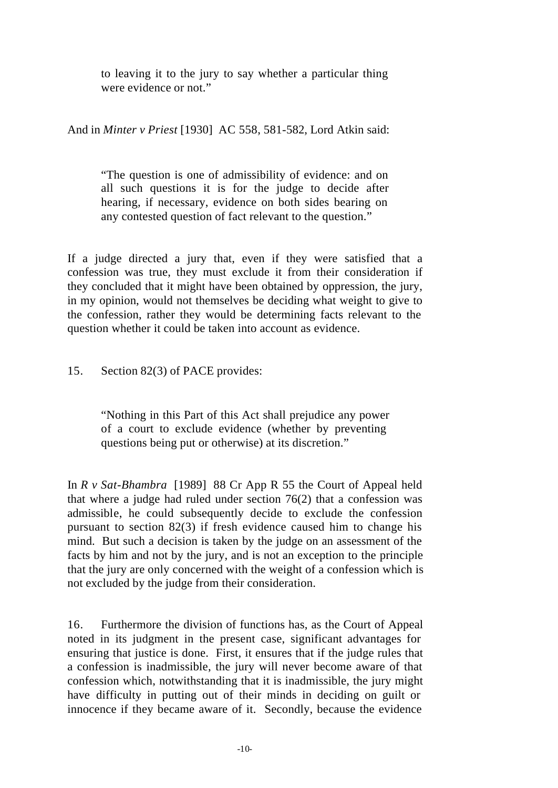to leaving it to the jury to say whether a particular thing were evidence or not."

And in *Minter v Priest* [1930] AC 558, 581-582, Lord Atkin said:

"The question is one of admissibility of evidence: and on all such questions it is for the judge to decide after hearing, if necessary, evidence on both sides bearing on any contested question of fact relevant to the question."

If a judge directed a jury that, even if they were satisfied that a confession was true, they must exclude it from their consideration if they concluded that it might have been obtained by oppression, the jury, in my opinion, would not themselves be deciding what weight to give to the confession, rather they would be determining facts relevant to the question whether it could be taken into account as evidence.

#### 15. Section 82(3) of PACE provides:

"Nothing in this Part of this Act shall prejudice any power of a court to exclude evidence (whether by preventing questions being put or otherwise) at its discretion."

In *R v Sat-Bhambra* [1989] 88 Cr App R 55 the Court of Appeal held that where a judge had ruled under section 76(2) that a confession was admissible, he could subsequently decide to exclude the confession pursuant to section 82(3) if fresh evidence caused him to change his mind. But such a decision is taken by the judge on an assessment of the facts by him and not by the jury, and is not an exception to the principle that the jury are only concerned with the weight of a confession which is not excluded by the judge from their consideration.

16. Furthermore the division of functions has, as the Court of Appeal noted in its judgment in the present case, significant advantages for ensuring that justice is done. First, it ensures that if the judge rules that a confession is inadmissible, the jury will never become aware of that confession which, notwithstanding that it is inadmissible, the jury might have difficulty in putting out of their minds in deciding on guilt or innocence if they became aware of it. Secondly, because the evidence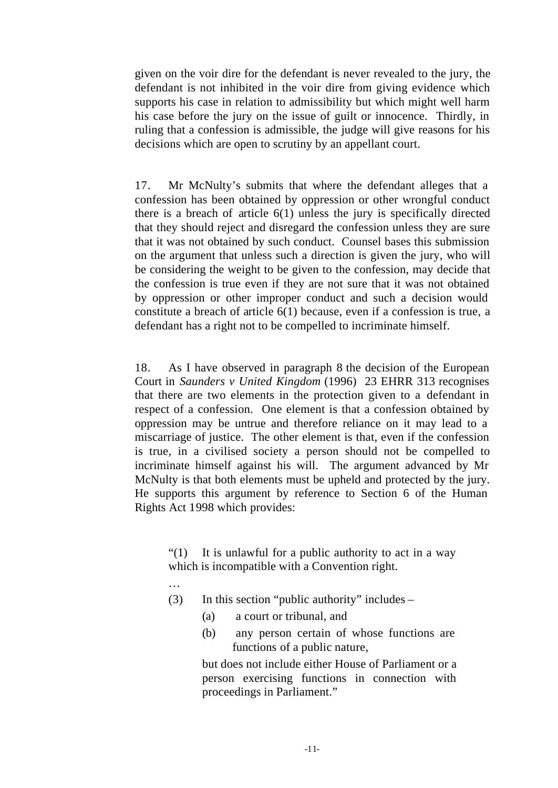given on the voir dire for the defendant is never revealed to the jury, the defendant is not inhibited in the voir dire from giving evidence which supports his case in relation to admissibility but which might well harm his case before the jury on the issue of guilt or innocence. Thirdly, in ruling that a confession is admissible, the judge will give reasons for his decisions which are open to scrutiny by an appellant court.

17. Mr McNulty's submits that where the defendant alleges that a confession has been obtained by oppression or other wrongful conduct there is a breach of article  $6(1)$  unless the jury is specifically directed that they should reject and disregard the confession unless they are sure that it was not obtained by such conduct. Counsel bases this submission on the argument that unless such a direction is given the jury, who will be considering the weight to be given to the confession, may decide that the confession is true even if they are not sure that it was not obtained by oppression or other improper conduct and such a decision would constitute a breach of article 6(1) because, even if a confession is true, a defendant has a right not to be compelled to incriminate himself.

18. As I have observed in paragraph 8 the decision of the European Court in *Saunders v United Kingdom* (1996) 23 EHRR 313 recognises that there are two elements in the protection given to a defendant in respect of a confession. One element is that a confession obtained by oppression may be untrue and therefore reliance on it may lead to a miscarriage of justice. The other element is that, even if the confession is true, in a civilised society a person should not be compelled to incriminate himself against his will. The argument advanced by Mr McNulty is that both elements must be upheld and protected by the jury. He supports this argument by reference to Section 6 of the Human Rights Act 1998 which provides:

"(1) It is unlawful for a public authority to act in a way which is incompatible with a Convention right.

- …
- (3) In this section "public authority" includes
	- (a) a court or tribunal, and
	- (b) any person certain of whose functions are functions of a public nature,

but does not include either House of Parliament or a person exercising functions in connection with proceedings in Parliament."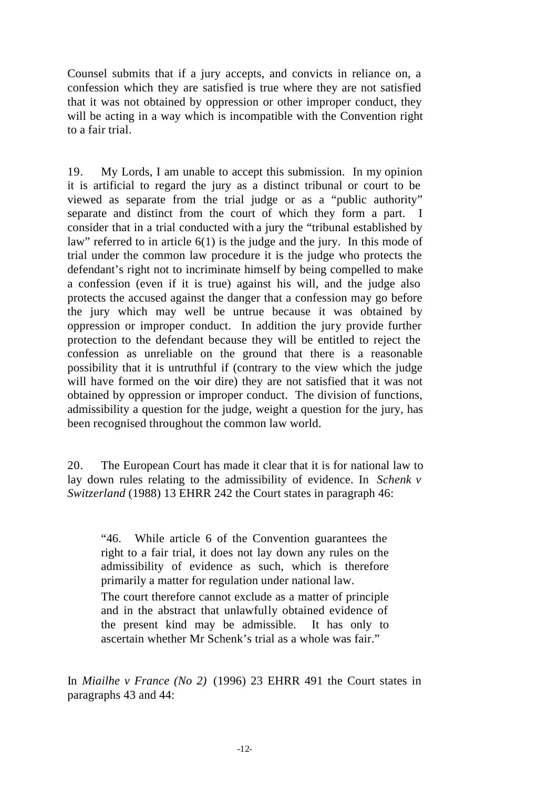Counsel submits that if a jury accepts, and convicts in reliance on, a confession which they are satisfied is true where they are not satisfied that it was not obtained by oppression or other improper conduct, they will be acting in a way which is incompatible with the Convention right to a fair trial.

19. My Lords, I am unable to accept this submission. In my opinion it is artificial to regard the jury as a distinct tribunal or court to be viewed as separate from the trial judge or as a "public authority" separate and distinct from the court of which they form a part. I consider that in a trial conducted with a jury the "tribunal established by law" referred to in article 6(1) is the judge and the jury. In this mode of trial under the common law procedure it is the judge who protects the defendant's right not to incriminate himself by being compelled to make a confession (even if it is true) against his will, and the judge also protects the accused against the danger that a confession may go before the jury which may well be untrue because it was obtained by oppression or improper conduct. In addition the jury provide further protection to the defendant because they will be entitled to reject the confession as unreliable on the ground that there is a reasonable possibility that it is untruthful if (contrary to the view which the judge will have formed on the voir dire) they are not satisfied that it was not obtained by oppression or improper conduct. The division of functions, admissibility a question for the judge, weight a question for the jury, has been recognised throughout the common law world.

20. The European Court has made it clear that it is for national law to lay down rules relating to the admissibility of evidence. In *Schenk v Switzerland* (1988) 13 EHRR 242 the Court states in paragraph 46:

"46. While article 6 of the Convention guarantees the right to a fair trial, it does not lay down any rules on the admissibility of evidence as such, which is therefore primarily a matter for regulation under national law.

The court therefore cannot exclude as a matter of principle and in the abstract that unlawfully obtained evidence of the present kind may be admissible. It has only to ascertain whether Mr Schenk's trial as a whole was fair."

In *Miailhe v France (No 2)* (1996) 23 EHRR 491 the Court states in paragraphs 43 and 44: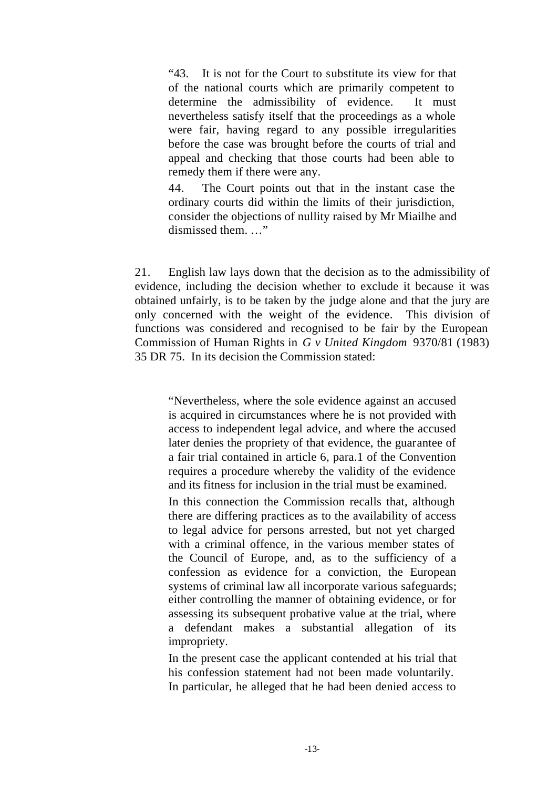"43. It is not for the Court to substitute its view for that of the national courts which are primarily competent to determine the admissibility of evidence. It must nevertheless satisfy itself that the proceedings as a whole were fair, having regard to any possible irregularities before the case was brought before the courts of trial and appeal and checking that those courts had been able to remedy them if there were any.

44. The Court points out that in the instant case the ordinary courts did within the limits of their jurisdiction, consider the objections of nullity raised by Mr Miailhe and dismissed them. …"

21. English law lays down that the decision as to the admissibility of evidence, including the decision whether to exclude it because it was obtained unfairly, is to be taken by the judge alone and that the jury are only concerned with the weight of the evidence. This division of functions was considered and recognised to be fair by the European Commission of Human Rights in *G v United Kingdom* 9370/81 (1983) 35 DR 75. In its decision the Commission stated:

"Nevertheless, where the sole evidence against an accused is acquired in circumstances where he is not provided with access to independent legal advice, and where the accused later denies the propriety of that evidence, the guarantee of a fair trial contained in article 6, para.1 of the Convention requires a procedure whereby the validity of the evidence and its fitness for inclusion in the trial must be examined.

In this connection the Commission recalls that, although there are differing practices as to the availability of access to legal advice for persons arrested, but not yet charged with a criminal offence, in the various member states of the Council of Europe, and, as to the sufficiency of a confession as evidence for a conviction, the European systems of criminal law all incorporate various safeguards; either controlling the manner of obtaining evidence, or for assessing its subsequent probative value at the trial, where a defendant makes a substantial allegation of its impropriety.

In the present case the applicant contended at his trial that his confession statement had not been made voluntarily. In particular, he alleged that he had been denied access to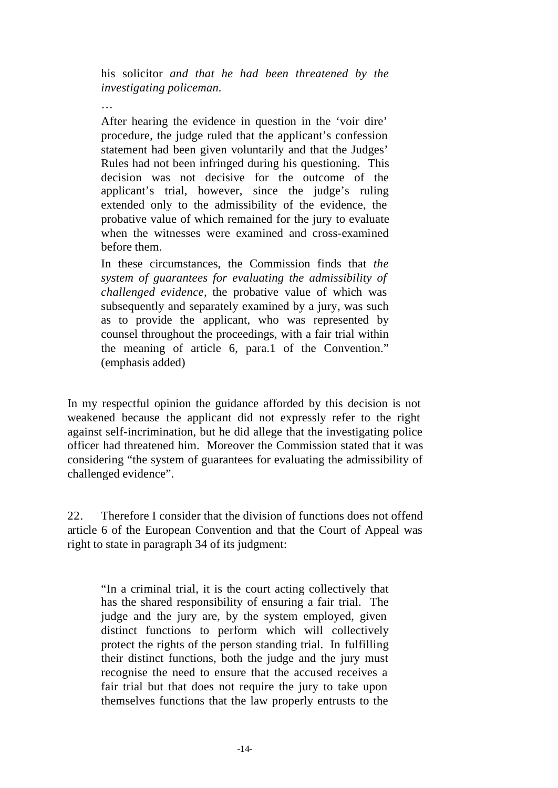his solicitor *and that he had been threatened by the investigating policeman.*

…

After hearing the evidence in question in the 'voir dire' procedure, the judge ruled that the applicant's confession statement had been given voluntarily and that the Judges' Rules had not been infringed during his questioning. This decision was not decisive for the outcome of the applicant's trial, however, since the judge's ruling extended only to the admissibility of the evidence, the probative value of which remained for the jury to evaluate when the witnesses were examined and cross-examined before them.

In these circumstances, the Commission finds that *the system of guarantees for evaluating the admissibility of challenged evidence,* the probative value of which was subsequently and separately examined by a jury, was such as to provide the applicant, who was represented by counsel throughout the proceedings, with a fair trial within the meaning of article 6, para.1 of the Convention." (emphasis added)

In my respectful opinion the guidance afforded by this decision is not weakened because the applicant did not expressly refer to the right against self-incrimination, but he did allege that the investigating police officer had threatened him. Moreover the Commission stated that it was considering "the system of guarantees for evaluating the admissibility of challenged evidence".

22. Therefore I consider that the division of functions does not offend article 6 of the European Convention and that the Court of Appeal was right to state in paragraph 34 of its judgment:

"In a criminal trial, it is the court acting collectively that has the shared responsibility of ensuring a fair trial. The judge and the jury are, by the system employed, given distinct functions to perform which will collectively protect the rights of the person standing trial. In fulfilling their distinct functions, both the judge and the jury must recognise the need to ensure that the accused receives a fair trial but that does not require the jury to take upon themselves functions that the law properly entrusts to the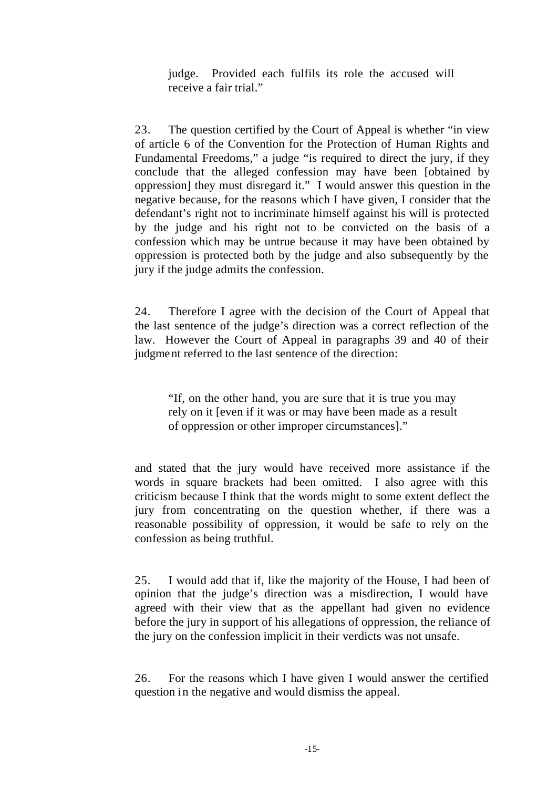judge. Provided each fulfils its role the accused will receive a fair trial."

23. The question certified by the Court of Appeal is whether "in view of article 6 of the Convention for the Protection of Human Rights and Fundamental Freedoms," a judge "is required to direct the jury, if they conclude that the alleged confession may have been [obtained by oppression] they must disregard it." I would answer this question in the negative because, for the reasons which I have given, I consider that the defendant's right not to incriminate himself against his will is protected by the judge and his right not to be convicted on the basis of a confession which may be untrue because it may have been obtained by oppression is protected both by the judge and also subsequently by the jury if the judge admits the confession.

24. Therefore I agree with the decision of the Court of Appeal that the last sentence of the judge's direction was a correct reflection of the law. However the Court of Appeal in paragraphs 39 and 40 of their judgment referred to the last sentence of the direction:

"If, on the other hand, you are sure that it is true you may rely on it [even if it was or may have been made as a result of oppression or other improper circumstances]."

and stated that the jury would have received more assistance if the words in square brackets had been omitted. I also agree with this criticism because I think that the words might to some extent deflect the jury from concentrating on the question whether, if there was a reasonable possibility of oppression, it would be safe to rely on the confession as being truthful.

25. I would add that if, like the majority of the House, I had been of opinion that the judge's direction was a misdirection, I would have agreed with their view that as the appellant had given no evidence before the jury in support of his allegations of oppression, the reliance of the jury on the confession implicit in their verdicts was not unsafe.

26. For the reasons which I have given I would answer the certified question in the negative and would dismiss the appeal.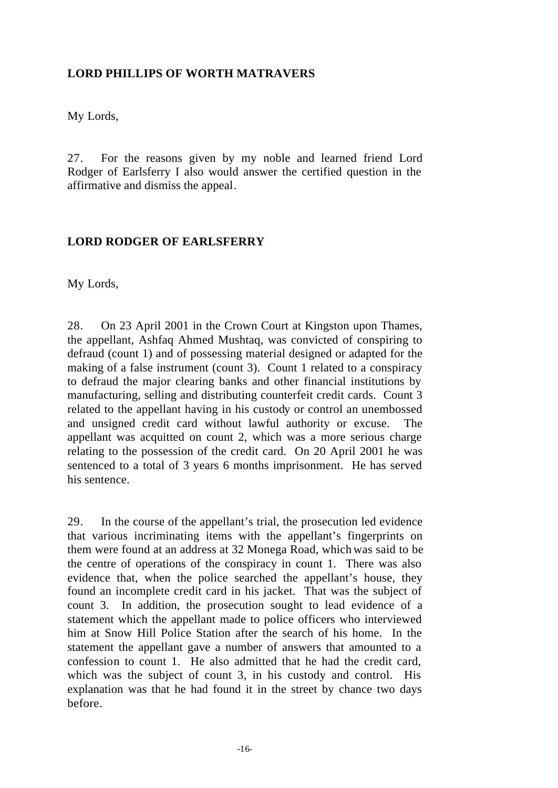#### **LORD PHILLIPS OF WORTH MATRAVERS**

My Lords,

27. For the reasons given by my noble and learned friend Lord Rodger of Earlsferry I also would answer the certified question in the affirmative and dismiss the appeal.

#### **LORD RODGER OF EARLSFERRY**

My Lords,

28. On 23 April 2001 in the Crown Court at Kingston upon Thames, the appellant, Ashfaq Ahmed Mushtaq, was convicted of conspiring to defraud (count 1) and of possessing material designed or adapted for the making of a false instrument (count 3). Count 1 related to a conspiracy to defraud the major clearing banks and other financial institutions by manufacturing, selling and distributing counterfeit credit cards. Count 3 related to the appellant having in his custody or control an unembossed and unsigned credit card without lawful authority or excuse. The appellant was acquitted on count 2, which was a more serious charge relating to the possession of the credit card. On 20 April 2001 he was sentenced to a total of 3 years 6 months imprisonment. He has served his sentence.

29. In the course of the appellant's trial, the prosecution led evidence that various incriminating items with the appellant's fingerprints on them were found at an address at 32 Monega Road, which was said to be the centre of operations of the conspiracy in count 1. There was also evidence that, when the police searched the appellant's house, they found an incomplete credit card in his jacket. That was the subject of count 3. In addition, the prosecution sought to lead evidence of a statement which the appellant made to police officers who interviewed him at Snow Hill Police Station after the search of his home. In the statement the appellant gave a number of answers that amounted to a confession to count 1. He also admitted that he had the credit card, which was the subject of count 3, in his custody and control. His explanation was that he had found it in the street by chance two days before.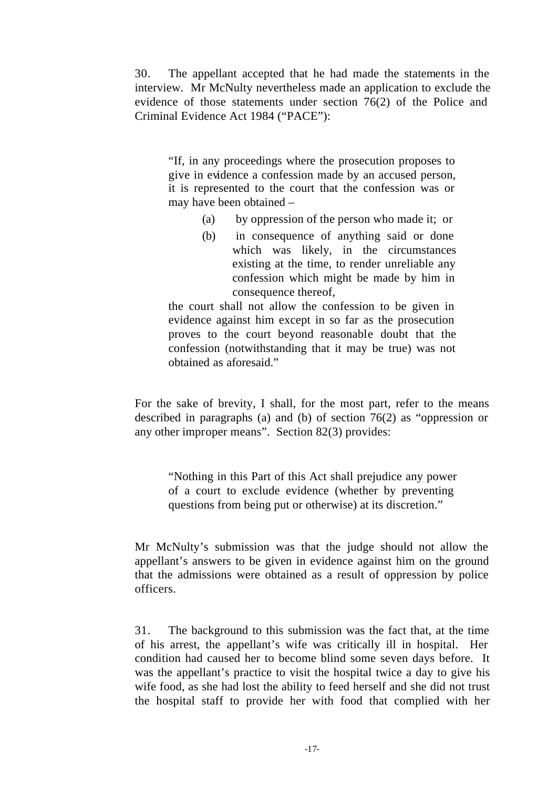30. The appellant accepted that he had made the statements in the interview. Mr McNulty nevertheless made an application to exclude the evidence of those statements under section 76(2) of the Police and Criminal Evidence Act 1984 ("PACE"):

"If, in any proceedings where the prosecution proposes to give in evidence a confession made by an accused person, it is represented to the court that the confession was or may have been obtained –

- (a) by oppression of the person who made it; or
- (b) in consequence of anything said or done which was likely, in the circumstances existing at the time, to render unreliable any confession which might be made by him in consequence thereof,

the court shall not allow the confession to be given in evidence against him except in so far as the prosecution proves to the court beyond reasonable doubt that the confession (notwithstanding that it may be true) was not obtained as aforesaid."

For the sake of brevity, I shall, for the most part, refer to the means described in paragraphs (a) and (b) of section 76(2) as "oppression or any other improper means". Section 82(3) provides:

"Nothing in this Part of this Act shall prejudice any power of a court to exclude evidence (whether by preventing questions from being put or otherwise) at its discretion."

Mr McNulty's submission was that the judge should not allow the appellant's answers to be given in evidence against him on the ground that the admissions were obtained as a result of oppression by police officers.

31. The background to this submission was the fact that, at the time of his arrest, the appellant's wife was critically ill in hospital. Her condition had caused her to become blind some seven days before. It was the appellant's practice to visit the hospital twice a day to give his wife food, as she had lost the ability to feed herself and she did not trust the hospital staff to provide her with food that complied with her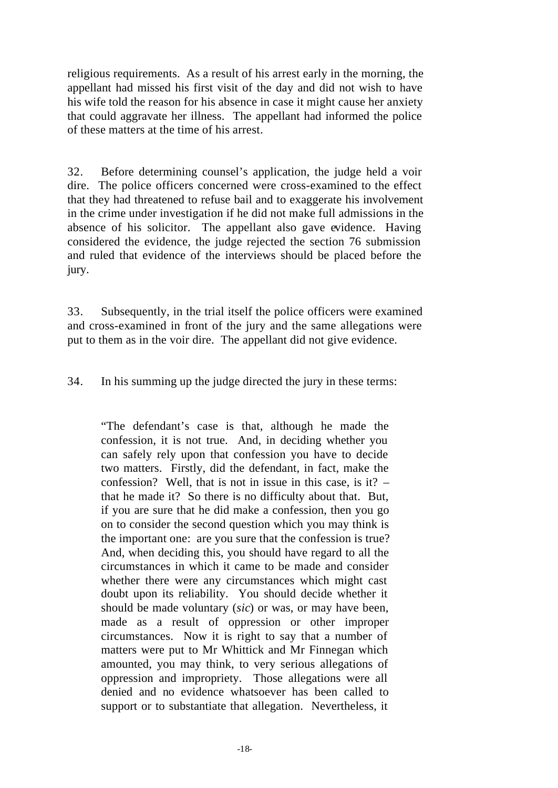religious requirements. As a result of his arrest early in the morning, the appellant had missed his first visit of the day and did not wish to have his wife told the reason for his absence in case it might cause her anxiety that could aggravate her illness. The appellant had informed the police of these matters at the time of his arrest.

32. Before determining counsel's application, the judge held a voir dire. The police officers concerned were cross-examined to the effect that they had threatened to refuse bail and to exaggerate his involvement in the crime under investigation if he did not make full admissions in the absence of his solicitor. The appellant also gave evidence. Having considered the evidence, the judge rejected the section 76 submission and ruled that evidence of the interviews should be placed before the jury.

33. Subsequently, in the trial itself the police officers were examined and cross-examined in front of the jury and the same allegations were put to them as in the voir dire. The appellant did not give evidence.

34. In his summing up the judge directed the jury in these terms:

"The defendant's case is that, although he made the confession, it is not true. And, in deciding whether you can safely rely upon that confession you have to decide two matters. Firstly, did the defendant, in fact, make the confession? Well, that is not in issue in this case, is it? – that he made it? So there is no difficulty about that. But, if you are sure that he did make a confession, then you go on to consider the second question which you may think is the important one: are you sure that the confession is true? And, when deciding this, you should have regard to all the circumstances in which it came to be made and consider whether there were any circumstances which might cast doubt upon its reliability. You should decide whether it should be made voluntary (*sic*) or was, or may have been, made as a result of oppression or other improper circumstances. Now it is right to say that a number of matters were put to Mr Whittick and Mr Finnegan which amounted, you may think, to very serious allegations of oppression and impropriety. Those allegations were all denied and no evidence whatsoever has been called to support or to substantiate that allegation. Nevertheless, it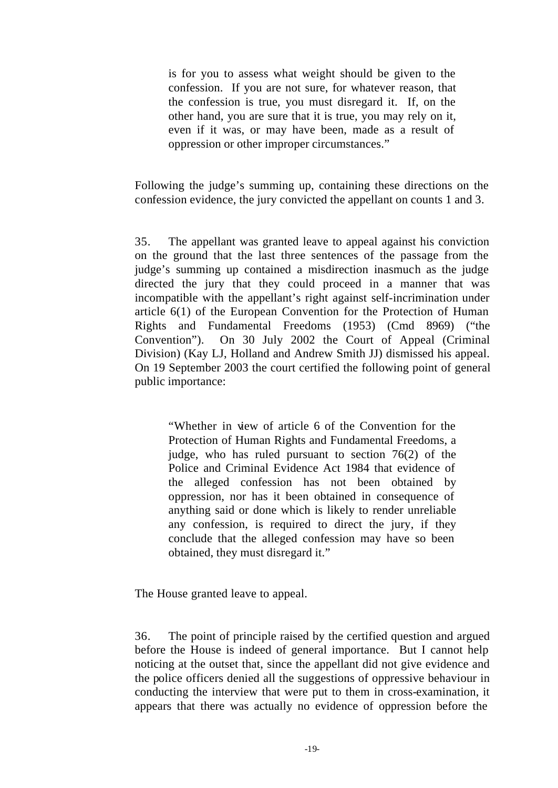is for you to assess what weight should be given to the confession. If you are not sure, for whatever reason, that the confession is true, you must disregard it. If, on the other hand, you are sure that it is true, you may rely on it, even if it was, or may have been, made as a result of oppression or other improper circumstances."

Following the judge's summing up, containing these directions on the confession evidence, the jury convicted the appellant on counts 1 and 3.

35. The appellant was granted leave to appeal against his conviction on the ground that the last three sentences of the passage from the judge's summing up contained a misdirection inasmuch as the judge directed the jury that they could proceed in a manner that was incompatible with the appellant's right against self-incrimination under article 6(1) of the European Convention for the Protection of Human Rights and Fundamental Freedoms (1953) (Cmd 8969) ("the Convention"). On 30 July 2002 the Court of Appeal (Criminal Division) (Kay LJ, Holland and Andrew Smith JJ) dismissed his appeal. On 19 September 2003 the court certified the following point of general public importance:

"Whether in view of article 6 of the Convention for the Protection of Human Rights and Fundamental Freedoms, a judge, who has ruled pursuant to section 76(2) of the Police and Criminal Evidence Act 1984 that evidence of the alleged confession has not been obtained by oppression, nor has it been obtained in consequence of anything said or done which is likely to render unreliable any confession, is required to direct the jury, if they conclude that the alleged confession may have so been obtained, they must disregard it."

The House granted leave to appeal.

36. The point of principle raised by the certified question and argued before the House is indeed of general importance. But I cannot help noticing at the outset that, since the appellant did not give evidence and the police officers denied all the suggestions of oppressive behaviour in conducting the interview that were put to them in cross-examination, it appears that there was actually no evidence of oppression before the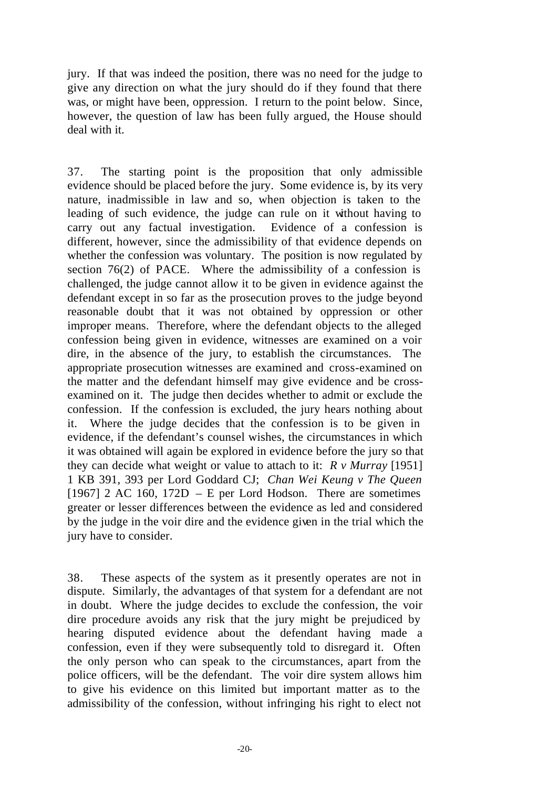jury. If that was indeed the position, there was no need for the judge to give any direction on what the jury should do if they found that there was, or might have been, oppression. I return to the point below. Since, however, the question of law has been fully argued, the House should deal with it.

37. The starting point is the proposition that only admissible evidence should be placed before the jury. Some evidence is, by its very nature, inadmissible in law and so, when objection is taken to the leading of such evidence, the judge can rule on it without having to carry out any factual investigation. Evidence of a confession is different, however, since the admissibility of that evidence depends on whether the confession was voluntary. The position is now regulated by section 76(2) of PACE. Where the admissibility of a confession is challenged, the judge cannot allow it to be given in evidence against the defendant except in so far as the prosecution proves to the judge beyond reasonable doubt that it was not obtained by oppression or other improper means. Therefore, where the defendant objects to the alleged confession being given in evidence, witnesses are examined on a voir dire, in the absence of the jury, to establish the circumstances. The appropriate prosecution witnesses are examined and cross-examined on the matter and the defendant himself may give evidence and be crossexamined on it. The judge then decides whether to admit or exclude the confession. If the confession is excluded, the jury hears nothing about it. Where the judge decides that the confession is to be given in evidence, if the defendant's counsel wishes, the circumstances in which it was obtained will again be explored in evidence before the jury so that they can decide what weight or value to attach to it: *R v Murray* [1951] 1 KB 391, 393 per Lord Goddard CJ; *Chan Wei Keung v The Queen*  [1967] 2 AC 160, 172D – E per Lord Hodson. There are sometimes greater or lesser differences between the evidence as led and considered by the judge in the voir dire and the evidence given in the trial which the jury have to consider.

38. These aspects of the system as it presently operates are not in dispute. Similarly, the advantages of that system for a defendant are not in doubt. Where the judge decides to exclude the confession, the voir dire procedure avoids any risk that the jury might be prejudiced by hearing disputed evidence about the defendant having made a confession, even if they were subsequently told to disregard it. Often the only person who can speak to the circumstances, apart from the police officers, will be the defendant. The voir dire system allows him to give his evidence on this limited but important matter as to the admissibility of the confession, without infringing his right to elect not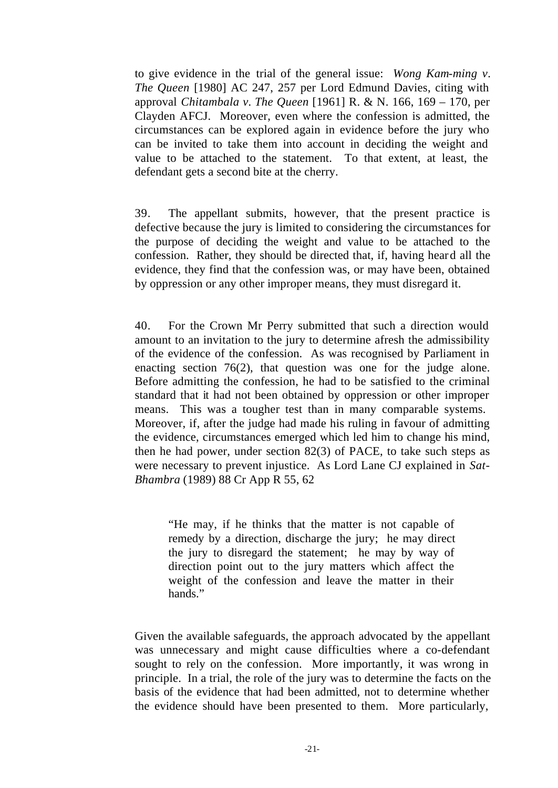to give evidence in the trial of the general issue: *Wong Kam-ming v. The Queen* [1980] AC 247, 257 per Lord Edmund Davies, citing with approval *Chitambala v. The Queen* [1961] R. & N. 166, 169 – 170, per Clayden AFCJ. Moreover, even where the confession is admitted, the circumstances can be explored again in evidence before the jury who can be invited to take them into account in deciding the weight and value to be attached to the statement. To that extent, at least, the defendant gets a second bite at the cherry.

39. The appellant submits, however, that the present practice is defective because the jury is limited to considering the circumstances for the purpose of deciding the weight and value to be attached to the confession. Rather, they should be directed that, if, having heard all the evidence, they find that the confession was, or may have been, obtained by oppression or any other improper means, they must disregard it.

40. For the Crown Mr Perry submitted that such a direction would amount to an invitation to the jury to determine afresh the admissibility of the evidence of the confession. As was recognised by Parliament in enacting section 76(2), that question was one for the judge alone. Before admitting the confession, he had to be satisfied to the criminal standard that it had not been obtained by oppression or other improper means. This was a tougher test than in many comparable systems. Moreover, if, after the judge had made his ruling in favour of admitting the evidence, circumstances emerged which led him to change his mind, then he had power, under section 82(3) of PACE, to take such steps as were necessary to prevent injustice. As Lord Lane CJ explained in *Sat-Bhambra* (1989) 88 Cr App R 55, 62

"He may, if he thinks that the matter is not capable of remedy by a direction, discharge the jury; he may direct the jury to disregard the statement; he may by way of direction point out to the jury matters which affect the weight of the confession and leave the matter in their hands."

Given the available safeguards, the approach advocated by the appellant was unnecessary and might cause difficulties where a co-defendant sought to rely on the confession. More importantly, it was wrong in principle. In a trial, the role of the jury was to determine the facts on the basis of the evidence that had been admitted, not to determine whether the evidence should have been presented to them. More particularly,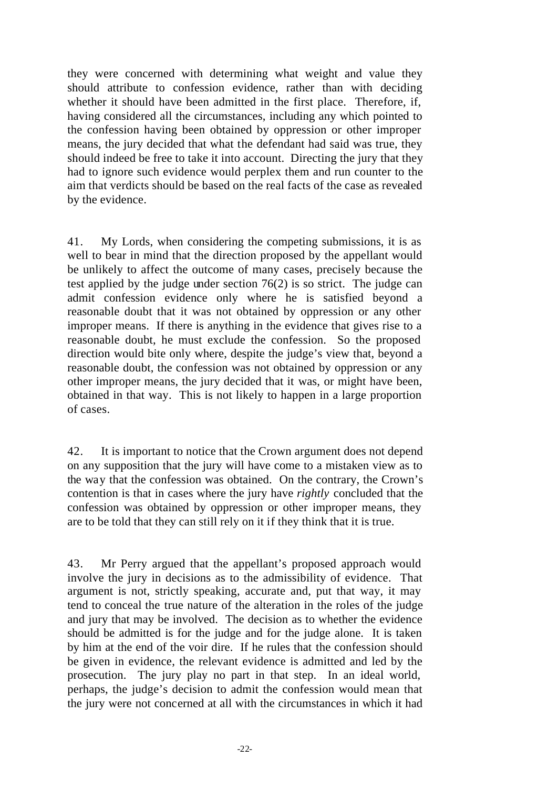they were concerned with determining what weight and value they should attribute to confession evidence, rather than with deciding whether it should have been admitted in the first place. Therefore, if, having considered all the circumstances, including any which pointed to the confession having been obtained by oppression or other improper means, the jury decided that what the defendant had said was true, they should indeed be free to take it into account. Directing the jury that they had to ignore such evidence would perplex them and run counter to the aim that verdicts should be based on the real facts of the case as revealed by the evidence.

41. My Lords, when considering the competing submissions, it is as well to bear in mind that the direction proposed by the appellant would be unlikely to affect the outcome of many cases, precisely because the test applied by the judge under section 76(2) is so strict. The judge can admit confession evidence only where he is satisfied beyond a reasonable doubt that it was not obtained by oppression or any other improper means. If there is anything in the evidence that gives rise to a reasonable doubt, he must exclude the confession. So the proposed direction would bite only where, despite the judge's view that, beyond a reasonable doubt, the confession was not obtained by oppression or any other improper means, the jury decided that it was, or might have been, obtained in that way. This is not likely to happen in a large proportion of cases.

42. It is important to notice that the Crown argument does not depend on any supposition that the jury will have come to a mistaken view as to the way that the confession was obtained. On the contrary, the Crown's contention is that in cases where the jury have *rightly* concluded that the confession was obtained by oppression or other improper means, they are to be told that they can still rely on it if they think that it is true.

43. Mr Perry argued that the appellant's proposed approach would involve the jury in decisions as to the admissibility of evidence. That argument is not, strictly speaking, accurate and, put that way, it may tend to conceal the true nature of the alteration in the roles of the judge and jury that may be involved. The decision as to whether the evidence should be admitted is for the judge and for the judge alone. It is taken by him at the end of the voir dire. If he rules that the confession should be given in evidence, the relevant evidence is admitted and led by the prosecution. The jury play no part in that step. In an ideal world, perhaps, the judge's decision to admit the confession would mean that the jury were not concerned at all with the circumstances in which it had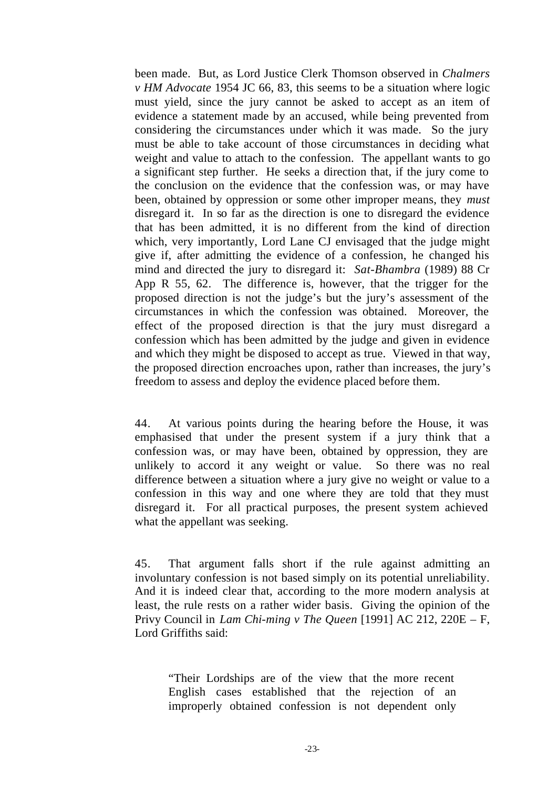been made. But, as Lord Justice Clerk Thomson observed in *Chalmers v HM Advocate* 1954 JC 66, 83, this seems to be a situation where logic must yield, since the jury cannot be asked to accept as an item of evidence a statement made by an accused, while being prevented from considering the circumstances under which it was made. So the jury must be able to take account of those circumstances in deciding what weight and value to attach to the confession. The appellant wants to go a significant step further. He seeks a direction that, if the jury come to the conclusion on the evidence that the confession was, or may have been, obtained by oppression or some other improper means, they *must* disregard it. In so far as the direction is one to disregard the evidence that has been admitted, it is no different from the kind of direction which, very importantly, Lord Lane CJ envisaged that the judge might give if, after admitting the evidence of a confession, he changed his mind and directed the jury to disregard it: *Sat-Bhambra* (1989) 88 Cr App R 55, 62. The difference is, however, that the trigger for the proposed direction is not the judge's but the jury's assessment of the circumstances in which the confession was obtained. Moreover, the effect of the proposed direction is that the jury must disregard a confession which has been admitted by the judge and given in evidence and which they might be disposed to accept as true. Viewed in that way, the proposed direction encroaches upon, rather than increases, the jury's freedom to assess and deploy the evidence placed before them.

44. At various points during the hearing before the House, it was emphasised that under the present system if a jury think that a confession was, or may have been, obtained by oppression, they are unlikely to accord it any weight or value. So there was no real difference between a situation where a jury give no weight or value to a confession in this way and one where they are told that they must disregard it. For all practical purposes, the present system achieved what the appellant was seeking.

45. That argument falls short if the rule against admitting an involuntary confession is not based simply on its potential unreliability. And it is indeed clear that, according to the more modern analysis at least, the rule rests on a rather wider basis. Giving the opinion of the Privy Council in *Lam Chi-ming v The Queen* [1991] AC 212, 220E – F, Lord Griffiths said:

"Their Lordships are of the view that the more recent English cases established that the rejection of an improperly obtained confession is not dependent only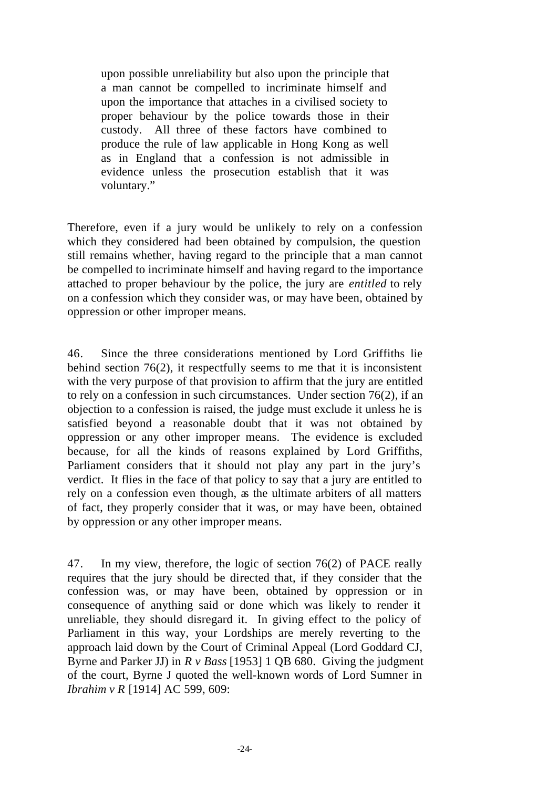upon possible unreliability but also upon the principle that a man cannot be compelled to incriminate himself and upon the importance that attaches in a civilised society to proper behaviour by the police towards those in their custody. All three of these factors have combined to produce the rule of law applicable in Hong Kong as well as in England that a confession is not admissible in evidence unless the prosecution establish that it was voluntary."

Therefore, even if a jury would be unlikely to rely on a confession which they considered had been obtained by compulsion, the question still remains whether, having regard to the principle that a man cannot be compelled to incriminate himself and having regard to the importance attached to proper behaviour by the police, the jury are *entitled* to rely on a confession which they consider was, or may have been, obtained by oppression or other improper means.

46. Since the three considerations mentioned by Lord Griffiths lie behind section 76(2), it respectfully seems to me that it is inconsistent with the very purpose of that provision to affirm that the jury are entitled to rely on a confession in such circumstances. Under section 76(2), if an objection to a confession is raised, the judge must exclude it unless he is satisfied beyond a reasonable doubt that it was not obtained by oppression or any other improper means. The evidence is excluded because, for all the kinds of reasons explained by Lord Griffiths, Parliament considers that it should not play any part in the jury's verdict. It flies in the face of that policy to say that a jury are entitled to rely on a confession even though, as the ultimate arbiters of all matters of fact, they properly consider that it was, or may have been, obtained by oppression or any other improper means.

47. In my view, therefore, the logic of section 76(2) of PACE really requires that the jury should be directed that, if they consider that the confession was, or may have been, obtained by oppression or in consequence of anything said or done which was likely to render it unreliable, they should disregard it. In giving effect to the policy of Parliament in this way, your Lordships are merely reverting to the approach laid down by the Court of Criminal Appeal (Lord Goddard CJ, Byrne and Parker JJ) in *R v Bass* [1953] 1 QB 680. Giving the judgment of the court, Byrne J quoted the well-known words of Lord Sumner in *Ibrahim v R* [1914] AC 599, 609: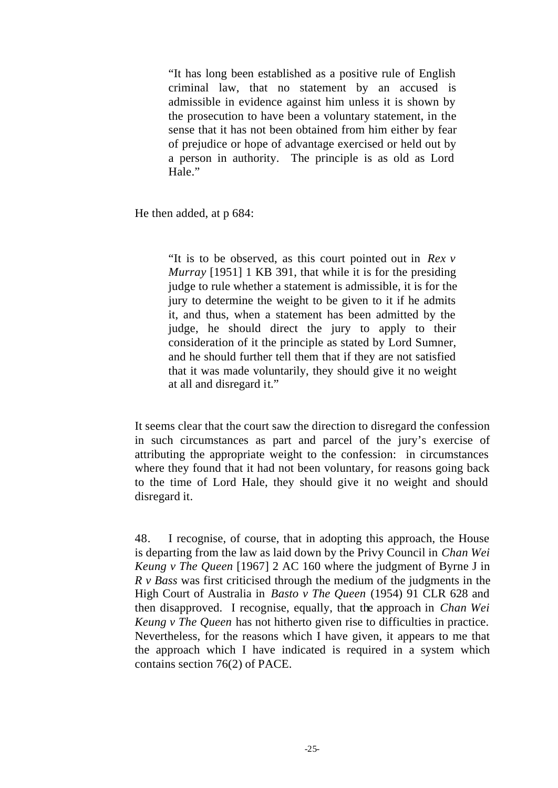"It has long been established as a positive rule of English criminal law, that no statement by an accused is admissible in evidence against him unless it is shown by the prosecution to have been a voluntary statement, in the sense that it has not been obtained from him either by fear of prejudice or hope of advantage exercised or held out by a person in authority. The principle is as old as Lord Hale."

He then added, at p 684:

"It is to be observed, as this court pointed out in *Rex v Murray* [1951] 1 KB 391, that while it is for the presiding judge to rule whether a statement is admissible, it is for the jury to determine the weight to be given to it if he admits it, and thus, when a statement has been admitted by the judge, he should direct the jury to apply to their consideration of it the principle as stated by Lord Sumner, and he should further tell them that if they are not satisfied that it was made voluntarily, they should give it no weight at all and disregard it."

It seems clear that the court saw the direction to disregard the confession in such circumstances as part and parcel of the jury's exercise of attributing the appropriate weight to the confession: in circumstances where they found that it had not been voluntary, for reasons going back to the time of Lord Hale, they should give it no weight and should disregard it.

48. I recognise, of course, that in adopting this approach, the House is departing from the law as laid down by the Privy Council in *Chan Wei Keung v The Queen* [1967] 2 AC 160 where the judgment of Byrne J in *R v Bass* was first criticised through the medium of the judgments in the High Court of Australia in *Basto v The Queen* (1954) 91 CLR 628 and then disapproved. I recognise, equally, that the approach in *Chan Wei Keung v The Queen* has not hitherto given rise to difficulties in practice. Nevertheless, for the reasons which I have given, it appears to me that the approach which I have indicated is required in a system which contains section 76(2) of PACE.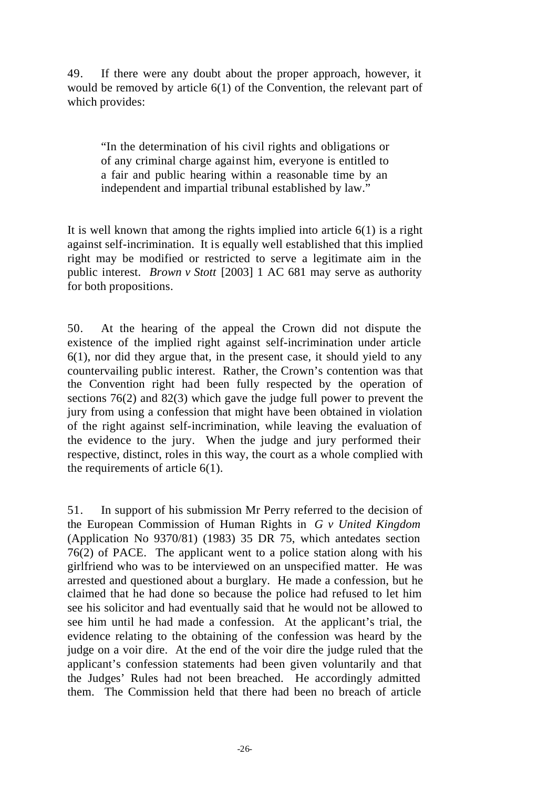49. If there were any doubt about the proper approach, however, it would be removed by article 6(1) of the Convention, the relevant part of which provides:

"In the determination of his civil rights and obligations or of any criminal charge against him, everyone is entitled to a fair and public hearing within a reasonable time by an independent and impartial tribunal established by law."

It is well known that among the rights implied into article  $6(1)$  is a right against self-incrimination. It is equally well established that this implied right may be modified or restricted to serve a legitimate aim in the public interest. *Brown v Stott* [2003] 1 AC 681 may serve as authority for both propositions.

50. At the hearing of the appeal the Crown did not dispute the existence of the implied right against self-incrimination under article 6(1), nor did they argue that, in the present case, it should yield to any countervailing public interest. Rather, the Crown's contention was that the Convention right had been fully respected by the operation of sections 76(2) and 82(3) which gave the judge full power to prevent the jury from using a confession that might have been obtained in violation of the right against self-incrimination, while leaving the evaluation of the evidence to the jury. When the judge and jury performed their respective, distinct, roles in this way, the court as a whole complied with the requirements of article 6(1).

51. In support of his submission Mr Perry referred to the decision of the European Commission of Human Rights in *G v United Kingdom*  (Application No 9370/81) (1983) 35 DR 75, which antedates section 76(2) of PACE. The applicant went to a police station along with his girlfriend who was to be interviewed on an unspecified matter. He was arrested and questioned about a burglary. He made a confession, but he claimed that he had done so because the police had refused to let him see his solicitor and had eventually said that he would not be allowed to see him until he had made a confession. At the applicant's trial, the evidence relating to the obtaining of the confession was heard by the judge on a voir dire. At the end of the voir dire the judge ruled that the applicant's confession statements had been given voluntarily and that the Judges' Rules had not been breached. He accordingly admitted them. The Commission held that there had been no breach of article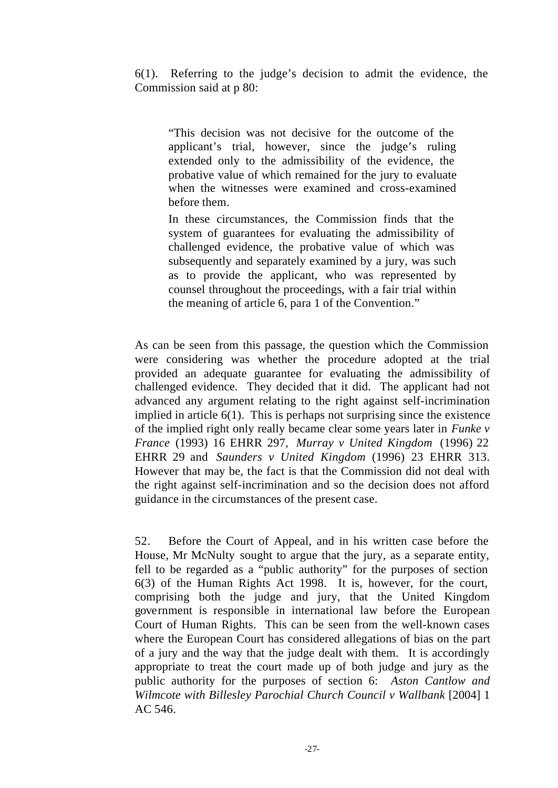6(1). Referring to the judge's decision to admit the evidence, the Commission said at p 80:

"This decision was not decisive for the outcome of the applicant's trial, however, since the judge's ruling extended only to the admissibility of the evidence, the probative value of which remained for the jury to evaluate when the witnesses were examined and cross-examined before them.

In these circumstances, the Commission finds that the system of guarantees for evaluating the admissibility of challenged evidence, the probative value of which was subsequently and separately examined by a jury, was such as to provide the applicant, who was represented by counsel throughout the proceedings, with a fair trial within the meaning of article 6, para 1 of the Convention."

As can be seen from this passage, the question which the Commission were considering was whether the procedure adopted at the trial provided an adequate guarantee for evaluating the admissibility of challenged evidence. They decided that it did. The applicant had not advanced any argument relating to the right against self-incrimination implied in article 6(1). This is perhaps not surprising since the existence of the implied right only really became clear some years later in *Funke v France* (1993) 16 EHRR 297, *Murray v United Kingdom* (1996) 22 EHRR 29 and *Saunders v United Kingdom* (1996) 23 EHRR 313. However that may be, the fact is that the Commission did not deal with the right against self-incrimination and so the decision does not afford guidance in the circumstances of the present case.

52. Before the Court of Appeal, and in his written case before the House, Mr McNulty sought to argue that the jury, as a separate entity, fell to be regarded as a "public authority" for the purposes of section 6(3) of the Human Rights Act 1998. It is, however, for the court, comprising both the judge and jury, that the United Kingdom government is responsible in international law before the European Court of Human Rights. This can be seen from the well-known cases where the European Court has considered allegations of bias on the part of a jury and the way that the judge dealt with them. It is accordingly appropriate to treat the court made up of both judge and jury as the public authority for the purposes of section 6: *Aston Cantlow and Wilmcote with Billesley Parochial Church Council v Wallbank* [2004] 1 AC 546.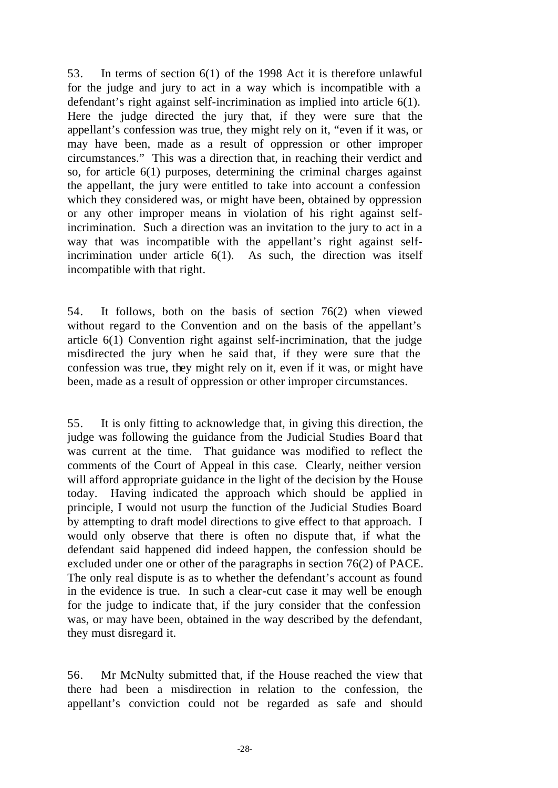53. In terms of section 6(1) of the 1998 Act it is therefore unlawful for the judge and jury to act in a way which is incompatible with a defendant's right against self-incrimination as implied into article 6(1). Here the judge directed the jury that, if they were sure that the appellant's confession was true, they might rely on it, "even if it was, or may have been, made as a result of oppression or other improper circumstances." This was a direction that, in reaching their verdict and so, for article 6(1) purposes, determining the criminal charges against the appellant, the jury were entitled to take into account a confession which they considered was, or might have been, obtained by oppression or any other improper means in violation of his right against selfincrimination. Such a direction was an invitation to the jury to act in a way that was incompatible with the appellant's right against selfincrimination under article 6(1). As such, the direction was itself incompatible with that right.

54. It follows, both on the basis of section 76(2) when viewed without regard to the Convention and on the basis of the appellant's article 6(1) Convention right against self-incrimination, that the judge misdirected the jury when he said that, if they were sure that the confession was true, they might rely on it, even if it was, or might have been, made as a result of oppression or other improper circumstances.

55. It is only fitting to acknowledge that, in giving this direction, the judge was following the guidance from the Judicial Studies Board that was current at the time. That guidance was modified to reflect the comments of the Court of Appeal in this case. Clearly, neither version will afford appropriate guidance in the light of the decision by the House today. Having indicated the approach which should be applied in principle, I would not usurp the function of the Judicial Studies Board by attempting to draft model directions to give effect to that approach. I would only observe that there is often no dispute that, if what the defendant said happened did indeed happen, the confession should be excluded under one or other of the paragraphs in section 76(2) of PACE. The only real dispute is as to whether the defendant's account as found in the evidence is true. In such a clear-cut case it may well be enough for the judge to indicate that, if the jury consider that the confession was, or may have been, obtained in the way described by the defendant, they must disregard it.

56. Mr McNulty submitted that, if the House reached the view that there had been a misdirection in relation to the confession, the appellant's conviction could not be regarded as safe and should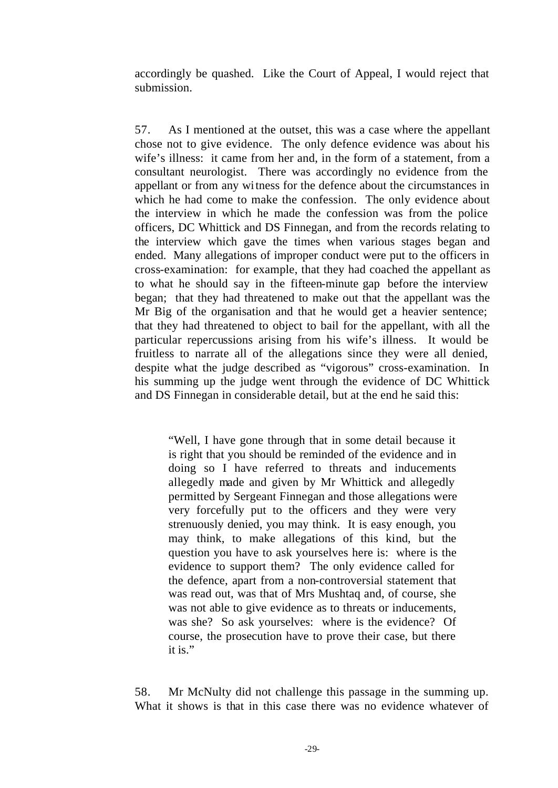accordingly be quashed. Like the Court of Appeal, I would reject that submission.

57. As I mentioned at the outset, this was a case where the appellant chose not to give evidence. The only defence evidence was about his wife's illness: it came from her and, in the form of a statement, from a consultant neurologist. There was accordingly no evidence from the appellant or from any witness for the defence about the circumstances in which he had come to make the confession. The only evidence about the interview in which he made the confession was from the police officers, DC Whittick and DS Finnegan, and from the records relating to the interview which gave the times when various stages began and ended. Many allegations of improper conduct were put to the officers in cross-examination: for example, that they had coached the appellant as to what he should say in the fifteen-minute gap before the interview began; that they had threatened to make out that the appellant was the Mr Big of the organisation and that he would get a heavier sentence; that they had threatened to object to bail for the appellant, with all the particular repercussions arising from his wife's illness. It would be fruitless to narrate all of the allegations since they were all denied, despite what the judge described as "vigorous" cross-examination. In his summing up the judge went through the evidence of DC Whittick and DS Finnegan in considerable detail, but at the end he said this:

"Well, I have gone through that in some detail because it is right that you should be reminded of the evidence and in doing so I have referred to threats and inducements allegedly made and given by Mr Whittick and allegedly permitted by Sergeant Finnegan and those allegations were very forcefully put to the officers and they were very strenuously denied, you may think. It is easy enough, you may think, to make allegations of this kind, but the question you have to ask yourselves here is: where is the evidence to support them? The only evidence called for the defence, apart from a non-controversial statement that was read out, was that of Mrs Mushtaq and, of course, she was not able to give evidence as to threats or inducements, was she? So ask yourselves: where is the evidence? Of course, the prosecution have to prove their case, but there it is."

58. Mr McNulty did not challenge this passage in the summing up. What it shows is that in this case there was no evidence whatever of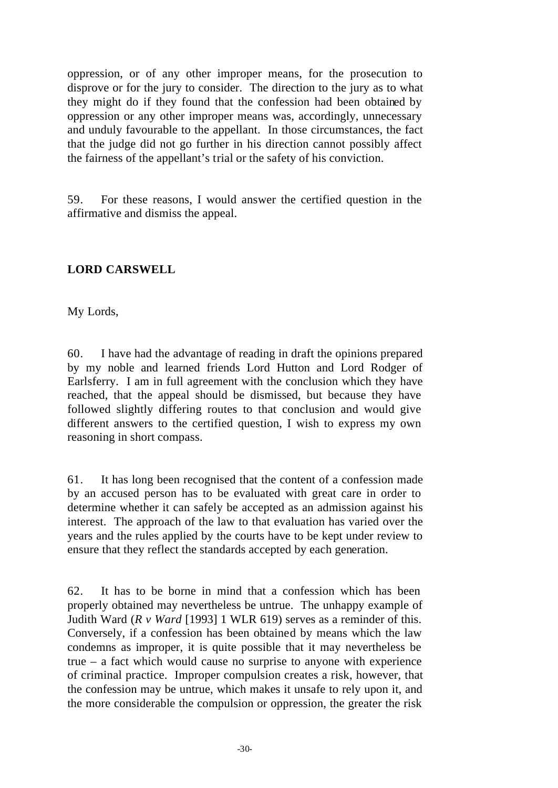oppression, or of any other improper means, for the prosecution to disprove or for the jury to consider. The direction to the jury as to what they might do if they found that the confession had been obtained by oppression or any other improper means was, accordingly, unnecessary and unduly favourable to the appellant. In those circumstances, the fact that the judge did not go further in his direction cannot possibly affect the fairness of the appellant's trial or the safety of his conviction.

59. For these reasons, I would answer the certified question in the affirmative and dismiss the appeal.

#### **LORD CARSWELL**

My Lords,

60. I have had the advantage of reading in draft the opinions prepared by my noble and learned friends Lord Hutton and Lord Rodger of Earlsferry. I am in full agreement with the conclusion which they have reached, that the appeal should be dismissed, but because they have followed slightly differing routes to that conclusion and would give different answers to the certified question, I wish to express my own reasoning in short compass.

61. It has long been recognised that the content of a confession made by an accused person has to be evaluated with great care in order to determine whether it can safely be accepted as an admission against his interest. The approach of the law to that evaluation has varied over the years and the rules applied by the courts have to be kept under review to ensure that they reflect the standards accepted by each generation.

62. It has to be borne in mind that a confession which has been properly obtained may nevertheless be untrue. The unhappy example of Judith Ward (*R v Ward* [1993] 1 WLR 619) serves as a reminder of this. Conversely, if a confession has been obtained by means which the law condemns as improper, it is quite possible that it may nevertheless be true – a fact which would cause no surprise to anyone with experience of criminal practice. Improper compulsion creates a risk, however, that the confession may be untrue, which makes it unsafe to rely upon it, and the more considerable the compulsion or oppression, the greater the risk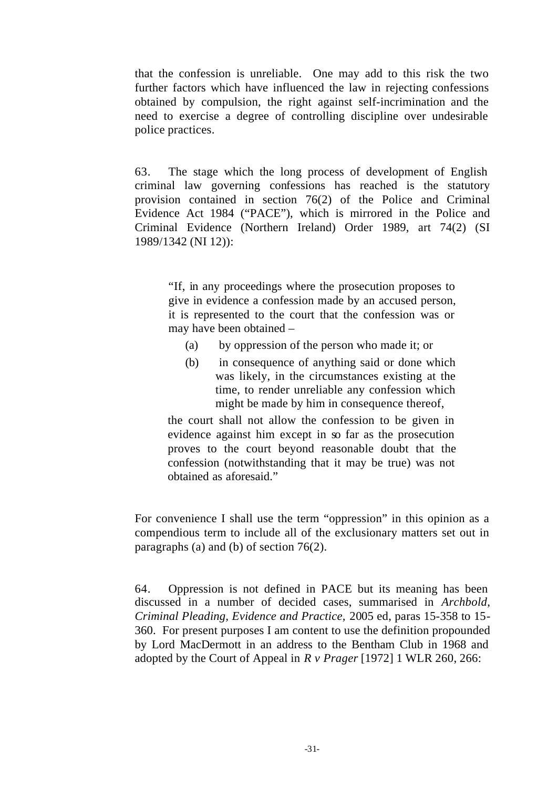that the confession is unreliable. One may add to this risk the two further factors which have influenced the law in rejecting confessions obtained by compulsion, the right against self-incrimination and the need to exercise a degree of controlling discipline over undesirable police practices.

63. The stage which the long process of development of English criminal law governing confessions has reached is the statutory provision contained in section 76(2) of the Police and Criminal Evidence Act 1984 ("PACE"), which is mirrored in the Police and Criminal Evidence (Northern Ireland) Order 1989, art 74(2) (SI 1989/1342 (NI 12)):

"If, in any proceedings where the prosecution proposes to give in evidence a confession made by an accused person, it is represented to the court that the confession was or may have been obtained –

- (a) by oppression of the person who made it; or
- (b) in consequence of anything said or done which was likely, in the circumstances existing at the time, to render unreliable any confession which might be made by him in consequence thereof,

the court shall not allow the confession to be given in evidence against him except in so far as the prosecution proves to the court beyond reasonable doubt that the confession (notwithstanding that it may be true) was not obtained as aforesaid."

For convenience I shall use the term "oppression" in this opinion as a compendious term to include all of the exclusionary matters set out in paragraphs (a) and (b) of section 76(2).

64. Oppression is not defined in PACE but its meaning has been discussed in a number of decided cases, summarised in *Archbold*, *Criminal Pleading, Evidence and Practice,* 2005 ed, paras 15-358 to 15- 360. For present purposes I am content to use the definition propounded by Lord MacDermott in an address to the Bentham Club in 1968 and adopted by the Court of Appeal in *R v Prager* [1972] 1 WLR 260, 266: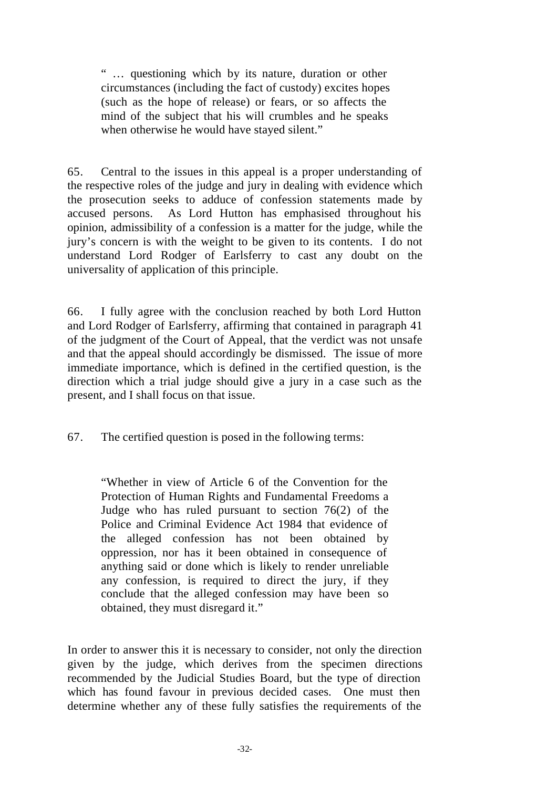" … questioning which by its nature, duration or other circumstances (including the fact of custody) excites hopes (such as the hope of release) or fears, or so affects the mind of the subject that his will crumbles and he speaks when otherwise he would have stayed silent."

65. Central to the issues in this appeal is a proper understanding of the respective roles of the judge and jury in dealing with evidence which the prosecution seeks to adduce of confession statements made by accused persons. As Lord Hutton has emphasised throughout his opinion, admissibility of a confession is a matter for the judge, while the jury's concern is with the weight to be given to its contents. I do not understand Lord Rodger of Earlsferry to cast any doubt on the universality of application of this principle.

66. I fully agree with the conclusion reached by both Lord Hutton and Lord Rodger of Earlsferry, affirming that contained in paragraph 41 of the judgment of the Court of Appeal, that the verdict was not unsafe and that the appeal should accordingly be dismissed. The issue of more immediate importance, which is defined in the certified question, is the direction which a trial judge should give a jury in a case such as the present, and I shall focus on that issue.

67. The certified question is posed in the following terms:

"Whether in view of Article 6 of the Convention for the Protection of Human Rights and Fundamental Freedoms a Judge who has ruled pursuant to section 76(2) of the Police and Criminal Evidence Act 1984 that evidence of the alleged confession has not been obtained by oppression, nor has it been obtained in consequence of anything said or done which is likely to render unreliable any confession, is required to direct the jury, if they conclude that the alleged confession may have been so obtained, they must disregard it."

In order to answer this it is necessary to consider, not only the direction given by the judge, which derives from the specimen directions recommended by the Judicial Studies Board, but the type of direction which has found favour in previous decided cases. One must then determine whether any of these fully satisfies the requirements of the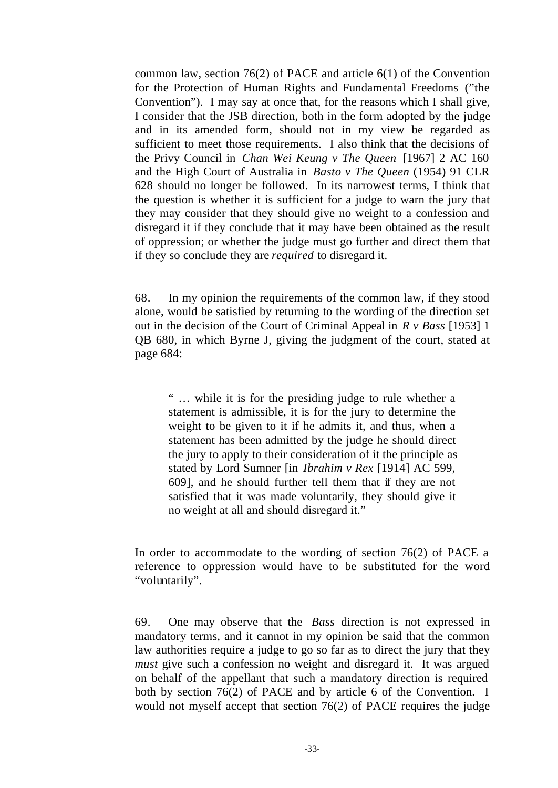common law, section 76(2) of PACE and article 6(1) of the Convention for the Protection of Human Rights and Fundamental Freedoms ("the Convention"). I may say at once that, for the reasons which I shall give, I consider that the JSB direction, both in the form adopted by the judge and in its amended form, should not in my view be regarded as sufficient to meet those requirements. I also think that the decisions of the Privy Council in *Chan Wei Keung v The Queen* [1967] 2 AC 160 and the High Court of Australia in *Basto v The Queen* (1954) 91 CLR 628 should no longer be followed. In its narrowest terms, I think that the question is whether it is sufficient for a judge to warn the jury that they may consider that they should give no weight to a confession and disregard it if they conclude that it may have been obtained as the result of oppression; or whether the judge must go further and direct them that if they so conclude they are *required* to disregard it.

68. In my opinion the requirements of the common law, if they stood alone, would be satisfied by returning to the wording of the direction set out in the decision of the Court of Criminal Appeal in *R v Bass* [1953] 1 QB 680, in which Byrne J, giving the judgment of the court, stated at page 684:

" … while it is for the presiding judge to rule whether a statement is admissible, it is for the jury to determine the weight to be given to it if he admits it, and thus, when a statement has been admitted by the judge he should direct the jury to apply to their consideration of it the principle as stated by Lord Sumner [in *Ibrahim v Rex* [1914] AC 599, 609], and he should further tell them that if they are not satisfied that it was made voluntarily, they should give it no weight at all and should disregard it."

In order to accommodate to the wording of section 76(2) of PACE a reference to oppression would have to be substituted for the word "voluntarily".

69. One may observe that the *Bass* direction is not expressed in mandatory terms, and it cannot in my opinion be said that the common law authorities require a judge to go so far as to direct the jury that they *must* give such a confession no weight and disregard it. It was argued on behalf of the appellant that such a mandatory direction is required both by section 76(2) of PACE and by article 6 of the Convention. I would not myself accept that section 76(2) of PACE requires the judge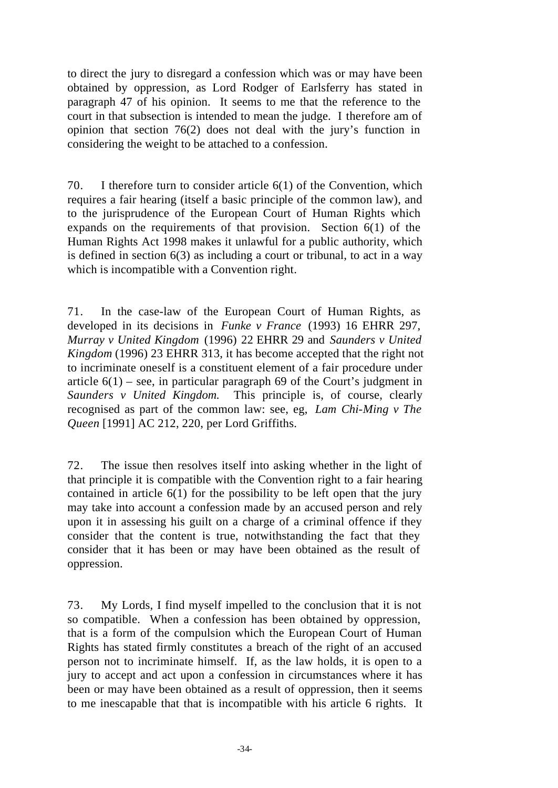to direct the jury to disregard a confession which was or may have been obtained by oppression, as Lord Rodger of Earlsferry has stated in paragraph 47 of his opinion. It seems to me that the reference to the court in that subsection is intended to mean the judge. I therefore am of opinion that section 76(2) does not deal with the jury's function in considering the weight to be attached to a confession.

70. I therefore turn to consider article 6(1) of the Convention, which requires a fair hearing (itself a basic principle of the common law), and to the jurisprudence of the European Court of Human Rights which expands on the requirements of that provision. Section 6(1) of the Human Rights Act 1998 makes it unlawful for a public authority, which is defined in section 6(3) as including a court or tribunal, to act in a way which is incompatible with a Convention right.

71. In the case-law of the European Court of Human Rights, as developed in its decisions in *Funke v France* (1993) 16 EHRR 297, *Murray v United Kingdom* (1996) 22 EHRR 29 and *Saunders v United Kingdom* (1996) 23 EHRR 313, it has become accepted that the right not to incriminate oneself is a constituent element of a fair procedure under article  $6(1)$  – see, in particular paragraph 69 of the Court's judgment in *Saunders v United Kingdom.* This principle is, of course, clearly recognised as part of the common law: see, eg, *Lam Chi-Ming v The Queen* [1991] AC 212, 220, per Lord Griffiths.

72. The issue then resolves itself into asking whether in the light of that principle it is compatible with the Convention right to a fair hearing contained in article  $6(1)$  for the possibility to be left open that the jury may take into account a confession made by an accused person and rely upon it in assessing his guilt on a charge of a criminal offence if they consider that the content is true, notwithstanding the fact that they consider that it has been or may have been obtained as the result of oppression.

73. My Lords, I find myself impelled to the conclusion that it is not so compatible. When a confession has been obtained by oppression, that is a form of the compulsion which the European Court of Human Rights has stated firmly constitutes a breach of the right of an accused person not to incriminate himself. If, as the law holds, it is open to a jury to accept and act upon a confession in circumstances where it has been or may have been obtained as a result of oppression, then it seems to me inescapable that that is incompatible with his article 6 rights. It